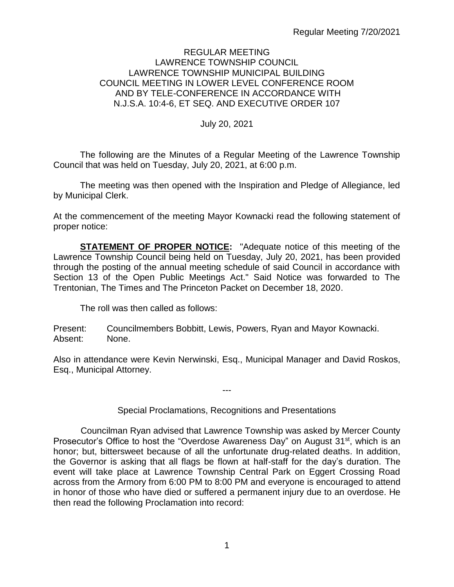#### REGULAR MEETING LAWRENCE TOWNSHIP COUNCIL LAWRENCE TOWNSHIP MUNICIPAL BUILDING COUNCIL MEETING IN LOWER LEVEL CONFERENCE ROOM AND BY TELE-CONFERENCE IN ACCORDANCE WITH N.J.S.A. 10:4-6, ET SEQ. AND EXECUTIVE ORDER 107

### July 20, 2021

The following are the Minutes of a Regular Meeting of the Lawrence Township Council that was held on Tuesday, July 20, 2021, at 6:00 p.m.

The meeting was then opened with the Inspiration and Pledge of Allegiance, led by Municipal Clerk.

At the commencement of the meeting Mayor Kownacki read the following statement of proper notice:

**STATEMENT OF PROPER NOTICE:** "Adequate notice of this meeting of the Lawrence Township Council being held on Tuesday, July 20, 2021, has been provided through the posting of the annual meeting schedule of said Council in accordance with Section 13 of the Open Public Meetings Act." Said Notice was forwarded to The Trentonian, The Times and The Princeton Packet on December 18, 2020.

The roll was then called as follows:

Present: Councilmembers Bobbitt, Lewis, Powers, Ryan and Mayor Kownacki. Absent: None.

Also in attendance were Kevin Nerwinski, Esq., Municipal Manager and David Roskos, Esq., Municipal Attorney.

---

## Special Proclamations, Recognitions and Presentations

 Councilman Ryan advised that Lawrence Township was asked by Mercer County Prosecutor's Office to host the "Overdose Awareness Day" on August 31<sup>st</sup>, which is an honor; but, bittersweet because of all the unfortunate drug-related deaths. In addition, the Governor is asking that all flags be flown at half-staff for the day's duration. The event will take place at Lawrence Township Central Park on Eggert Crossing Road across from the Armory from 6:00 PM to 8:00 PM and everyone is encouraged to attend in honor of those who have died or suffered a permanent injury due to an overdose. He then read the following Proclamation into record: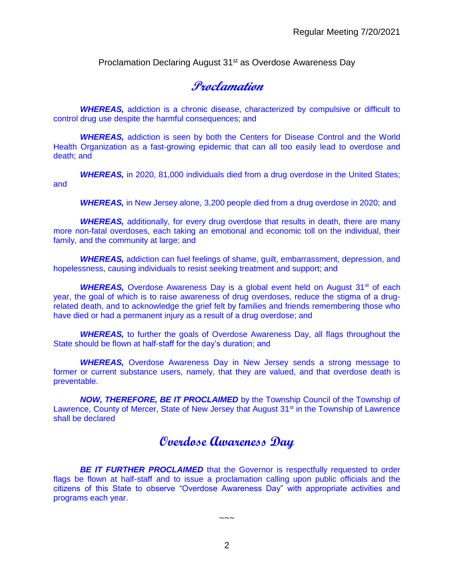Proclamation Declaring August 31<sup>st</sup> as Overdose Awareness Day

**Proclamation**

**WHEREAS,** addiction is a chronic disease, characterized by compulsive or difficult to control drug use despite the harmful consequences; and

*WHEREAS,* addiction is seen by both the Centers for Disease Control and the World Health Organization as a fast-growing epidemic that can all too easily lead to overdose and death; and

**WHEREAS,** in 2020, 81,000 individuals died from a drug overdose in the United States; and

*WHEREAS,* in New Jersey alone, 3,200 people died from a drug overdose in 2020; and

**WHEREAS,** additionally, for every drug overdose that results in death, there are many more non-fatal overdoses, each taking an emotional and economic toll on the individual, their family, and the community at large; and

*WHEREAS,* addiction can fuel feelings of shame, guilt, embarrassment, depression, and hopelessness, causing individuals to resist seeking treatment and support; and

**WHEREAS,** Overdose Awareness Day is a global event held on August 31<sup>st</sup> of each year, the goal of which is to raise awareness of drug overdoses, reduce the stigma of a drugrelated death, and to acknowledge the grief felt by families and friends remembering those who have died or had a permanent injury as a result of a drug overdose; and

*WHEREAS,* to further the goals of Overdose Awareness Day, all flags throughout the State should be flown at half-staff for the day's duration; and

**WHEREAS,** Overdose Awareness Day in New Jersey sends a strong message to former or current substance users, namely, that they are valued, and that overdose death is preventable.

*NOW, THEREFORE, BE IT PROCLAIMED* by the Township Council of the Township of Lawrence, County of Mercer, State of New Jersey that August  $31<sup>st</sup>$  in the Township of Lawrence shall be declared

# **Overdose Awareness Day**

**BE IT FURTHER PROCLAIMED** that the Governor is respectfully requested to order flags be flown at half-staff and to issue a proclamation calling upon public officials and the citizens of this State to observe "Overdose Awareness Day" with appropriate activities and programs each year.

2

 $\sim\sim\sim$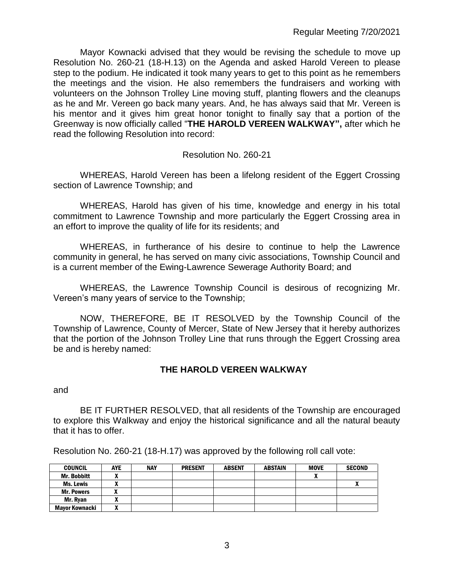Mayor Kownacki advised that they would be revising the schedule to move up Resolution No. 260-21 (18-H.13) on the Agenda and asked Harold Vereen to please step to the podium. He indicated it took many years to get to this point as he remembers the meetings and the vision. He also remembers the fundraisers and working with volunteers on the Johnson Trolley Line moving stuff, planting flowers and the cleanups as he and Mr. Vereen go back many years. And, he has always said that Mr. Vereen is his mentor and it gives him great honor tonight to finally say that a portion of the Greenway is now officially called "**THE HAROLD VEREEN WALKWAY",** after which he read the following Resolution into record:

## Resolution No. 260-21

WHEREAS, Harold Vereen has been a lifelong resident of the Eggert Crossing section of Lawrence Township; and

WHEREAS, Harold has given of his time, knowledge and energy in his total commitment to Lawrence Township and more particularly the Eggert Crossing area in an effort to improve the quality of life for its residents; and

WHEREAS, in furtherance of his desire to continue to help the Lawrence community in general, he has served on many civic associations, Township Council and is a current member of the Ewing-Lawrence Sewerage Authority Board; and

WHEREAS, the Lawrence Township Council is desirous of recognizing Mr. Vereen's many years of service to the Township;

NOW, THEREFORE, BE IT RESOLVED by the Township Council of the Township of Lawrence, County of Mercer, State of New Jersey that it hereby authorizes that the portion of the Johnson Trolley Line that runs through the Eggert Crossing area be and is hereby named:

## **THE HAROLD VEREEN WALKWAY**

and

BE IT FURTHER RESOLVED, that all residents of the Township are encouraged to explore this Walkway and enjoy the historical significance and all the natural beauty that it has to offer.

Resolution No. 260-21 (18-H.17) was approved by the following roll call vote:

| <b>COUNCIL</b>        | <b>AYE</b> | <b>NAY</b> | <b>PRESENT</b> | <b>ABSENT</b> | <b>ABSTAIN</b> | <b>MOVE</b> | <b>SECOND</b> |
|-----------------------|------------|------------|----------------|---------------|----------------|-------------|---------------|
| <b>Mr. Bobbitt</b>    | ~          |            |                |               |                |             |               |
| Ms. Lewis             |            |            |                |               |                |             |               |
| <b>Mr. Powers</b>     |            |            |                |               |                |             |               |
| Mr. Rvan              | ^          |            |                |               |                |             |               |
| <b>Mavor Kownacki</b> | ~          |            |                |               |                |             |               |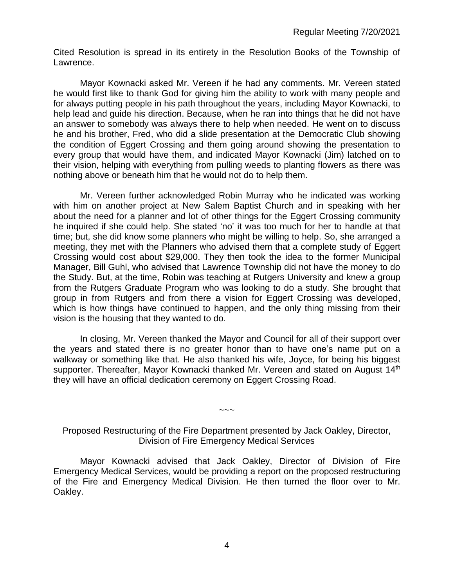Cited Resolution is spread in its entirety in the Resolution Books of the Township of Lawrence.

Mayor Kownacki asked Mr. Vereen if he had any comments. Mr. Vereen stated he would first like to thank God for giving him the ability to work with many people and for always putting people in his path throughout the years, including Mayor Kownacki, to help lead and guide his direction. Because, when he ran into things that he did not have an answer to somebody was always there to help when needed. He went on to discuss he and his brother, Fred, who did a slide presentation at the Democratic Club showing the condition of Eggert Crossing and them going around showing the presentation to every group that would have them, and indicated Mayor Kownacki (Jim) latched on to their vision, helping with everything from pulling weeds to planting flowers as there was nothing above or beneath him that he would not do to help them.

Mr. Vereen further acknowledged Robin Murray who he indicated was working with him on another project at New Salem Baptist Church and in speaking with her about the need for a planner and lot of other things for the Eggert Crossing community he inquired if she could help. She stated 'no' it was too much for her to handle at that time; but, she did know some planners who might be willing to help. So, she arranged a meeting, they met with the Planners who advised them that a complete study of Eggert Crossing would cost about \$29,000. They then took the idea to the former Municipal Manager, Bill Guhl, who advised that Lawrence Township did not have the money to do the Study. But, at the time, Robin was teaching at Rutgers University and knew a group from the Rutgers Graduate Program who was looking to do a study. She brought that group in from Rutgers and from there a vision for Eggert Crossing was developed, which is how things have continued to happen, and the only thing missing from their vision is the housing that they wanted to do.

In closing, Mr. Vereen thanked the Mayor and Council for all of their support over the years and stated there is no greater honor than to have one's name put on a walkway or something like that. He also thanked his wife, Joyce, for being his biggest supporter. Thereafter, Mayor Kownacki thanked Mr. Vereen and stated on August 14<sup>th</sup> they will have an official dedication ceremony on Eggert Crossing Road.

Proposed Restructuring of the Fire Department presented by Jack Oakley, Director, Division of Fire Emergency Medical Services

~~~

Mayor Kownacki advised that Jack Oakley, Director of Division of Fire Emergency Medical Services, would be providing a report on the proposed restructuring of the Fire and Emergency Medical Division. He then turned the floor over to Mr. Oakley.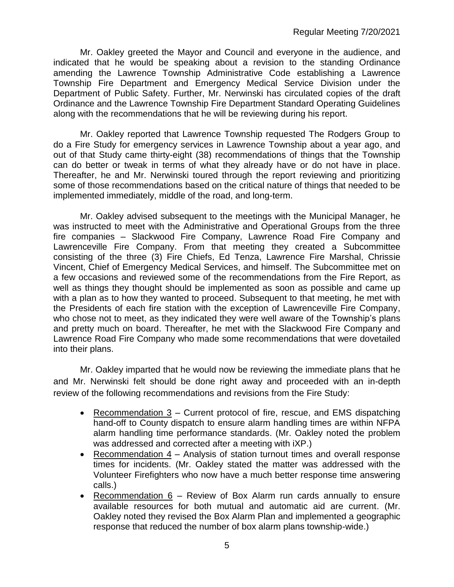Mr. Oakley greeted the Mayor and Council and everyone in the audience, and indicated that he would be speaking about a revision to the standing Ordinance amending the Lawrence Township Administrative Code establishing a Lawrence Township Fire Department and Emergency Medical Service Division under the Department of Public Safety. Further, Mr. Nerwinski has circulated copies of the draft Ordinance and the Lawrence Township Fire Department Standard Operating Guidelines along with the recommendations that he will be reviewing during his report.

Mr. Oakley reported that Lawrence Township requested The Rodgers Group to do a Fire Study for emergency services in Lawrence Township about a year ago, and out of that Study came thirty-eight (38) recommendations of things that the Township can do better or tweak in terms of what they already have or do not have in place. Thereafter, he and Mr. Nerwinski toured through the report reviewing and prioritizing some of those recommendations based on the critical nature of things that needed to be implemented immediately, middle of the road, and long-term.

Mr. Oakley advised subsequent to the meetings with the Municipal Manager, he was instructed to meet with the Administrative and Operational Groups from the three fire companies – Slackwood Fire Company, Lawrence Road Fire Company and Lawrenceville Fire Company. From that meeting they created a Subcommittee consisting of the three (3) Fire Chiefs, Ed Tenza, Lawrence Fire Marshal, Chrissie Vincent, Chief of Emergency Medical Services, and himself. The Subcommittee met on a few occasions and reviewed some of the recommendations from the Fire Report, as well as things they thought should be implemented as soon as possible and came up with a plan as to how they wanted to proceed. Subsequent to that meeting, he met with the Presidents of each fire station with the exception of Lawrenceville Fire Company, who chose not to meet, as they indicated they were well aware of the Township's plans and pretty much on board. Thereafter, he met with the Slackwood Fire Company and Lawrence Road Fire Company who made some recommendations that were dovetailed into their plans.

Mr. Oakley imparted that he would now be reviewing the immediate plans that he and Mr. Nerwinski felt should be done right away and proceeded with an in-depth review of the following recommendations and revisions from the Fire Study:

- Recommendation 3 Current protocol of fire, rescue, and EMS dispatching hand-off to County dispatch to ensure alarm handling times are within NFPA alarm handling time performance standards. (Mr. Oakley noted the problem was addressed and corrected after a meeting with iXP.)
- Recommendation 4 Analysis of station turnout times and overall response times for incidents. (Mr. Oakley stated the matter was addressed with the Volunteer Firefighters who now have a much better response time answering calls.)
- Recommendation 6 Review of Box Alarm run cards annually to ensure available resources for both mutual and automatic aid are current. (Mr. Oakley noted they revised the Box Alarm Plan and implemented a geographic response that reduced the number of box alarm plans township-wide.)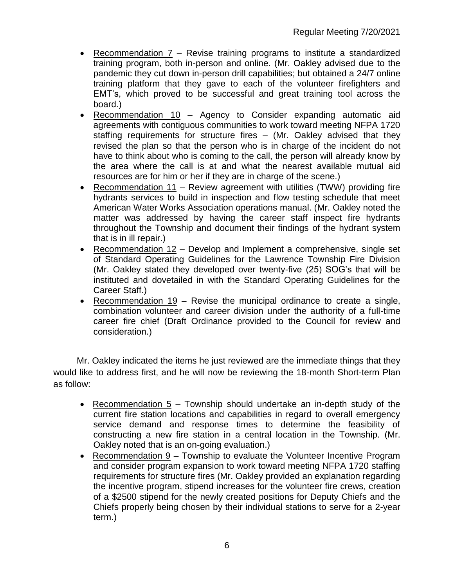- Recommendation 7 Revise training programs to institute a standardized training program, both in-person and online. (Mr. Oakley advised due to the pandemic they cut down in-person drill capabilities; but obtained a 24/7 online training platform that they gave to each of the volunteer firefighters and EMT's, which proved to be successful and great training tool across the board.)
- Recommendation 10 Agency to Consider expanding automatic aid agreements with contiguous communities to work toward meeting NFPA 1720 staffing requirements for structure fires – (Mr. Oakley advised that they revised the plan so that the person who is in charge of the incident do not have to think about who is coming to the call, the person will already know by the area where the call is at and what the nearest available mutual aid resources are for him or her if they are in charge of the scene.)
- Recommendation 11 Review agreement with utilities (TWW) providing fire hydrants services to build in inspection and flow testing schedule that meet American Water Works Association operations manual. (Mr. Oakley noted the matter was addressed by having the career staff inspect fire hydrants throughout the Township and document their findings of the hydrant system that is in ill repair.)
- Recommendation 12 Develop and Implement a comprehensive, single set of Standard Operating Guidelines for the Lawrence Township Fire Division (Mr. Oakley stated they developed over twenty-five (25) SOG's that will be instituted and dovetailed in with the Standard Operating Guidelines for the Career Staff.)
- Recommendation  $19$  Revise the municipal ordinance to create a single, combination volunteer and career division under the authority of a full-time career fire chief (Draft Ordinance provided to the Council for review and consideration.)

Mr. Oakley indicated the items he just reviewed are the immediate things that they would like to address first, and he will now be reviewing the 18-month Short-term Plan as follow:

- Recommendation 5 Township should undertake an in-depth study of the current fire station locations and capabilities in regard to overall emergency service demand and response times to determine the feasibility of constructing a new fire station in a central location in the Township. (Mr. Oakley noted that is an on-going evaluation.)
- Recommendation 9 Township to evaluate the Volunteer Incentive Program and consider program expansion to work toward meeting NFPA 1720 staffing requirements for structure fires (Mr. Oakley provided an explanation regarding the incentive program, stipend increases for the volunteer fire crews, creation of a \$2500 stipend for the newly created positions for Deputy Chiefs and the Chiefs properly being chosen by their individual stations to serve for a 2-year term.)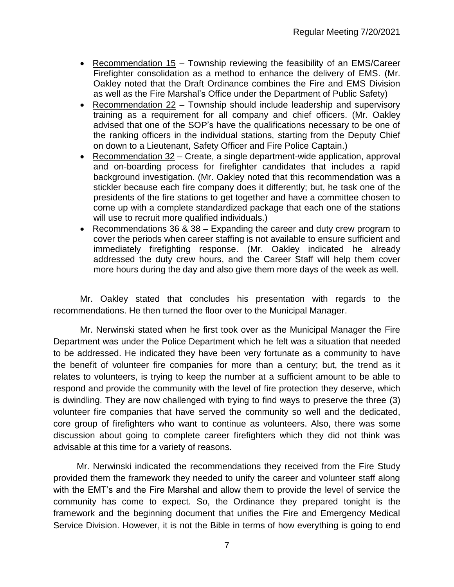- Recommendation 15 Township reviewing the feasibility of an EMS/Career Firefighter consolidation as a method to enhance the delivery of EMS. (Mr. Oakley noted that the Draft Ordinance combines the Fire and EMS Division as well as the Fire Marshal's Office under the Department of Public Safety)
- Recommendation 22 Township should include leadership and supervisory training as a requirement for all company and chief officers. (Mr. Oakley advised that one of the SOP's have the qualifications necessary to be one of the ranking officers in the individual stations, starting from the Deputy Chief on down to a Lieutenant, Safety Officer and Fire Police Captain.)
- Recommendation 32 Create, a single department-wide application, approval and on-boarding process for firefighter candidates that includes a rapid background investigation. (Mr. Oakley noted that this recommendation was a stickler because each fire company does it differently; but, he task one of the presidents of the fire stations to get together and have a committee chosen to come up with a complete standardized package that each one of the stations will use to recruit more qualified individuals.)
- Recommendations 36 & 38 Expanding the career and duty crew program to cover the periods when career staffing is not available to ensure sufficient and immediately firefighting response. (Mr. Oakley indicated he already addressed the duty crew hours, and the Career Staff will help them cover more hours during the day and also give them more days of the week as well.

Mr. Oakley stated that concludes his presentation with regards to the recommendations. He then turned the floor over to the Municipal Manager.

Mr. Nerwinski stated when he first took over as the Municipal Manager the Fire Department was under the Police Department which he felt was a situation that needed to be addressed. He indicated they have been very fortunate as a community to have the benefit of volunteer fire companies for more than a century; but, the trend as it relates to volunteers, is trying to keep the number at a sufficient amount to be able to respond and provide the community with the level of fire protection they deserve, which is dwindling. They are now challenged with trying to find ways to preserve the three (3) volunteer fire companies that have served the community so well and the dedicated, core group of firefighters who want to continue as volunteers. Also, there was some discussion about going to complete career firefighters which they did not think was advisable at this time for a variety of reasons.

Mr. Nerwinski indicated the recommendations they received from the Fire Study provided them the framework they needed to unify the career and volunteer staff along with the EMT's and the Fire Marshal and allow them to provide the level of service the community has come to expect. So, the Ordinance they prepared tonight is the framework and the beginning document that unifies the Fire and Emergency Medical Service Division. However, it is not the Bible in terms of how everything is going to end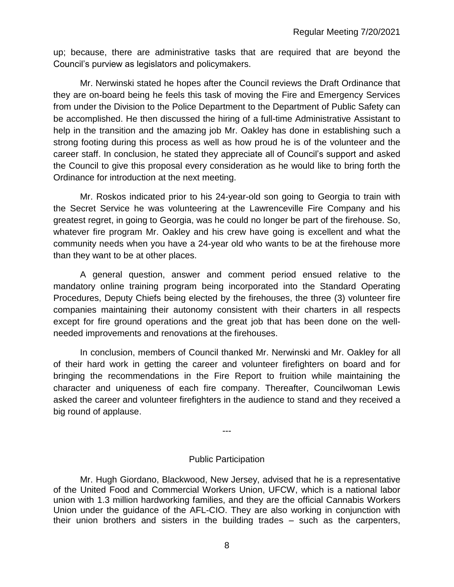up; because, there are administrative tasks that are required that are beyond the Council's purview as legislators and policymakers.

Mr. Nerwinski stated he hopes after the Council reviews the Draft Ordinance that they are on-board being he feels this task of moving the Fire and Emergency Services from under the Division to the Police Department to the Department of Public Safety can be accomplished. He then discussed the hiring of a full-time Administrative Assistant to help in the transition and the amazing job Mr. Oakley has done in establishing such a strong footing during this process as well as how proud he is of the volunteer and the career staff. In conclusion, he stated they appreciate all of Council's support and asked the Council to give this proposal every consideration as he would like to bring forth the Ordinance for introduction at the next meeting.

Mr. Roskos indicated prior to his 24-year-old son going to Georgia to train with the Secret Service he was volunteering at the Lawrenceville Fire Company and his greatest regret, in going to Georgia, was he could no longer be part of the firehouse. So, whatever fire program Mr. Oakley and his crew have going is excellent and what the community needs when you have a 24-year old who wants to be at the firehouse more than they want to be at other places.

A general question, answer and comment period ensued relative to the mandatory online training program being incorporated into the Standard Operating Procedures, Deputy Chiefs being elected by the firehouses, the three (3) volunteer fire companies maintaining their autonomy consistent with their charters in all respects except for fire ground operations and the great job that has been done on the wellneeded improvements and renovations at the firehouses.

In conclusion, members of Council thanked Mr. Nerwinski and Mr. Oakley for all of their hard work in getting the career and volunteer firefighters on board and for bringing the recommendations in the Fire Report to fruition while maintaining the character and uniqueness of each fire company. Thereafter, Councilwoman Lewis asked the career and volunteer firefighters in the audience to stand and they received a big round of applause.

#### Public Participation

---

Mr. Hugh Giordano, Blackwood, New Jersey, advised that he is a representative of the United Food and Commercial Workers Union, UFCW, which is a national labor union with 1.3 million hardworking families, and they are the official Cannabis Workers Union under the guidance of the AFL-CIO. They are also working in conjunction with their union brothers and sisters in the building trades – such as the carpenters,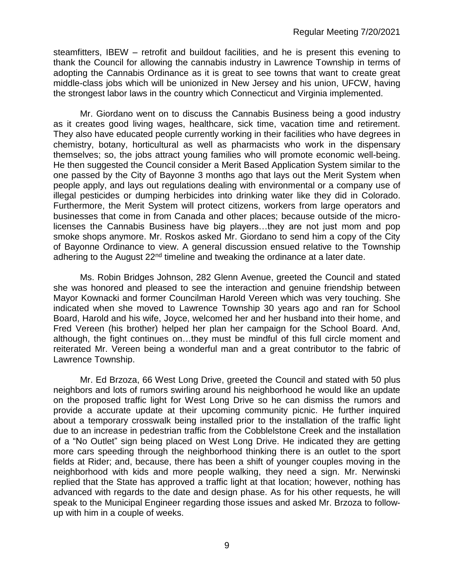steamfitters, IBEW – retrofit and buildout facilities, and he is present this evening to thank the Council for allowing the cannabis industry in Lawrence Township in terms of adopting the Cannabis Ordinance as it is great to see towns that want to create great middle-class jobs which will be unionized in New Jersey and his union, UFCW, having the strongest labor laws in the country which Connecticut and Virginia implemented.

Mr. Giordano went on to discuss the Cannabis Business being a good industry as it creates good living wages, healthcare, sick time, vacation time and retirement. They also have educated people currently working in their facilities who have degrees in chemistry, botany, horticultural as well as pharmacists who work in the dispensary themselves; so, the jobs attract young families who will promote economic well-being. He then suggested the Council consider a Merit Based Application System similar to the one passed by the City of Bayonne 3 months ago that lays out the Merit System when people apply, and lays out regulations dealing with environmental or a company use of illegal pesticides or dumping herbicides into drinking water like they did in Colorado. Furthermore, the Merit System will protect citizens, workers from large operators and businesses that come in from Canada and other places; because outside of the microlicenses the Cannabis Business have big players…they are not just mom and pop smoke shops anymore. Mr. Roskos asked Mr. Giordano to send him a copy of the City of Bayonne Ordinance to view. A general discussion ensued relative to the Township adhering to the August  $22<sup>nd</sup>$  timeline and tweaking the ordinance at a later date.

Ms. Robin Bridges Johnson, 282 Glenn Avenue, greeted the Council and stated she was honored and pleased to see the interaction and genuine friendship between Mayor Kownacki and former Councilman Harold Vereen which was very touching. She indicated when she moved to Lawrence Township 30 years ago and ran for School Board, Harold and his wife, Joyce, welcomed her and her husband into their home, and Fred Vereen (his brother) helped her plan her campaign for the School Board. And, although, the fight continues on…they must be mindful of this full circle moment and reiterated Mr. Vereen being a wonderful man and a great contributor to the fabric of Lawrence Township.

Mr. Ed Brzoza, 66 West Long Drive, greeted the Council and stated with 50 plus neighbors and lots of rumors swirling around his neighborhood he would like an update on the proposed traffic light for West Long Drive so he can dismiss the rumors and provide a accurate update at their upcoming community picnic. He further inquired about a temporary crosswalk being installed prior to the installation of the traffic light due to an increase in pedestrian traffic from the Cobblelstone Creek and the installation of a "No Outlet" sign being placed on West Long Drive. He indicated they are getting more cars speeding through the neighborhood thinking there is an outlet to the sport fields at Rider; and, because, there has been a shift of younger couples moving in the neighborhood with kids and more people walking, they need a sign. Mr. Nerwinski replied that the State has approved a traffic light at that location; however, nothing has advanced with regards to the date and design phase. As for his other requests, he will speak to the Municipal Engineer regarding those issues and asked Mr. Brzoza to followup with him in a couple of weeks.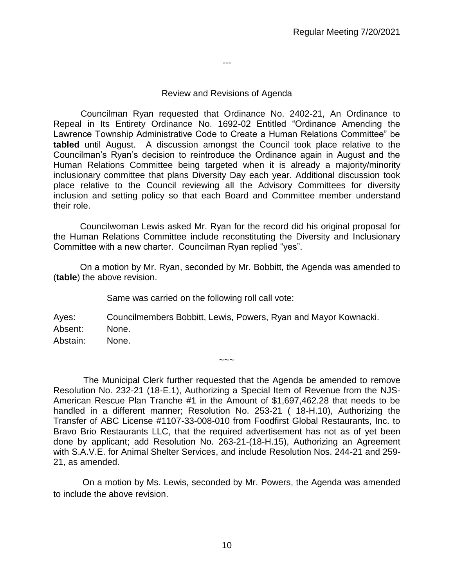Review and Revisions of Agenda

---

 Councilman Ryan requested that Ordinance No. 2402-21, An Ordinance to Repeal in Its Entirety Ordinance No. 1692-02 Entitled "Ordinance Amending the Lawrence Township Administrative Code to Create a Human Relations Committee" be **tabled** until August. A discussion amongst the Council took place relative to the Councilman's Ryan's decision to reintroduce the Ordinance again in August and the Human Relations Committee being targeted when it is already a majority/minority inclusionary committee that plans Diversity Day each year. Additional discussion took place relative to the Council reviewing all the Advisory Committees for diversity inclusion and setting policy so that each Board and Committee member understand their role.

Councilwoman Lewis asked Mr. Ryan for the record did his original proposal for the Human Relations Committee include reconstituting the Diversity and Inclusionary Committee with a new charter. Councilman Ryan replied "yes".

On a motion by Mr. Ryan, seconded by Mr. Bobbitt, the Agenda was amended to (**table**) the above revision.

Same was carried on the following roll call vote:

Ayes: Councilmembers Bobbitt, Lewis, Powers, Ryan and Mayor Kownacki. Absent: None. Abstain: None.

The Municipal Clerk further requested that the Agenda be amended to remove Resolution No. 232-21 (18-E.1), Authorizing a Special Item of Revenue from the NJS-American Rescue Plan Tranche #1 in the Amount of \$1,697,462.28 that needs to be handled in a different manner; Resolution No. 253-21 ( 18-H.10), Authorizing the Transfer of ABC License #1107-33-008-010 from Foodfirst Global Restaurants, Inc. to Bravo Brio Restaurants LLC, that the required advertisement has not as of yet been done by applicant; add Resolution No. 263-21-(18-H.15), Authorizing an Agreement with S.A.V.E. for Animal Shelter Services, and include Resolution Nos. 244-21 and 259- 21, as amended.

 $\sim\sim\sim$ 

On a motion by Ms. Lewis, seconded by Mr. Powers, the Agenda was amended to include the above revision.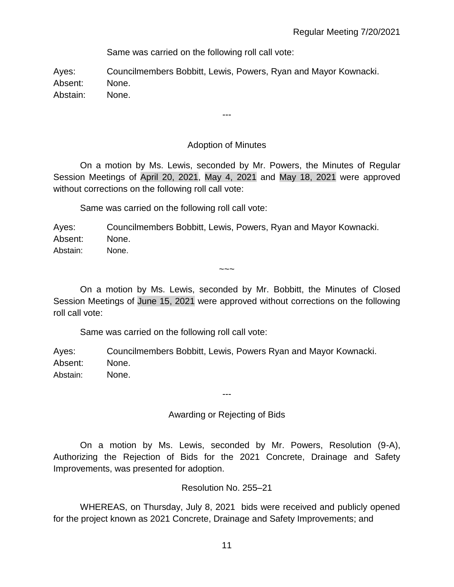Same was carried on the following roll call vote:

Ayes: Councilmembers Bobbitt, Lewis, Powers, Ryan and Mayor Kownacki. Absent: None. Abstain: None.

## Adoption of Minutes

---

On a motion by Ms. Lewis, seconded by Mr. Powers, the Minutes of Regular Session Meetings of April 20, 2021, May 4, 2021 and May 18, 2021 were approved without corrections on the following roll call vote:

Same was carried on the following roll call vote:

Ayes: Councilmembers Bobbitt, Lewis, Powers, Ryan and Mayor Kownacki. Absent: None.

Abstain: None.

 $\sim\sim\sim$ 

On a motion by Ms. Lewis, seconded by Mr. Bobbitt, the Minutes of Closed Session Meetings of June 15, 2021 were approved without corrections on the following roll call vote:

Same was carried on the following roll call vote:

Ayes: Councilmembers Bobbitt, Lewis, Powers Ryan and Mayor Kownacki. Absent: None. Abstain: None.

---

Awarding or Rejecting of Bids

On a motion by Ms. Lewis, seconded by Mr. Powers, Resolution (9-A), Authorizing the Rejection of Bids for the 2021 Concrete, Drainage and Safety Improvements, was presented for adoption.

Resolution No. 255–21

WHEREAS, on Thursday, July 8, 2021 bids were received and publicly opened for the project known as 2021 Concrete, Drainage and Safety Improvements; and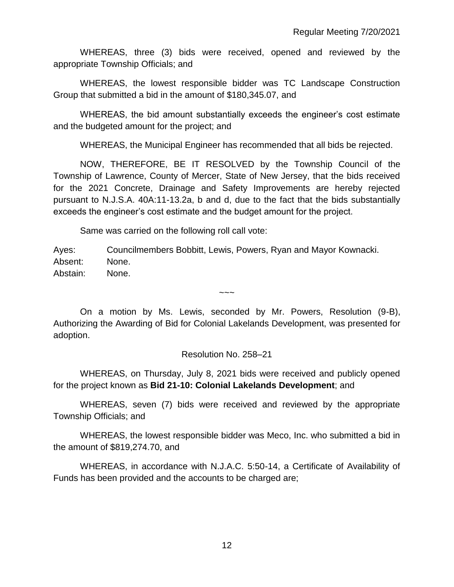WHEREAS, three (3) bids were received, opened and reviewed by the appropriate Township Officials; and

WHEREAS, the lowest responsible bidder was TC Landscape Construction Group that submitted a bid in the amount of \$180,345.07, and

WHEREAS, the bid amount substantially exceeds the engineer's cost estimate and the budgeted amount for the project; and

WHEREAS, the Municipal Engineer has recommended that all bids be rejected.

NOW, THEREFORE, BE IT RESOLVED by the Township Council of the Township of Lawrence, County of Mercer, State of New Jersey, that the bids received for the 2021 Concrete, Drainage and Safety Improvements are hereby rejected pursuant to N.J.S.A. 40A:11-13.2a, b and d, due to the fact that the bids substantially exceeds the engineer's cost estimate and the budget amount for the project.

Same was carried on the following roll call vote:

Ayes: Councilmembers Bobbitt, Lewis, Powers, Ryan and Mayor Kownacki. Absent: None. Abstain: None.

On a motion by Ms. Lewis, seconded by Mr. Powers, Resolution (9-B), Authorizing the Awarding of Bid for Colonial Lakelands Development, was presented for adoption.

 $\sim\sim\sim$ 

Resolution No. 258–21

WHEREAS, on Thursday, July 8, 2021 bids were received and publicly opened for the project known as **Bid 21-10: Colonial Lakelands Development**; and

WHEREAS, seven (7) bids were received and reviewed by the appropriate Township Officials; and

WHEREAS, the lowest responsible bidder was Meco, Inc. who submitted a bid in the amount of \$819,274.70, and

WHEREAS, in accordance with N.J.A.C. 5:50-14, a Certificate of Availability of Funds has been provided and the accounts to be charged are;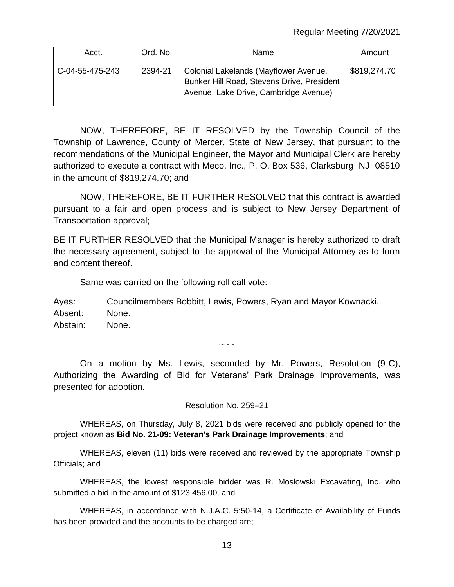| Acct.           | Ord. No. | Name                                                                                                                         | Amount       |
|-----------------|----------|------------------------------------------------------------------------------------------------------------------------------|--------------|
| C-04-55-475-243 | 2394-21  | Colonial Lakelands (Mayflower Avenue,<br>Bunker Hill Road, Stevens Drive, President<br>Avenue, Lake Drive, Cambridge Avenue) | \$819,274.70 |

NOW, THEREFORE, BE IT RESOLVED by the Township Council of the Township of Lawrence, County of Mercer, State of New Jersey, that pursuant to the recommendations of the Municipal Engineer, the Mayor and Municipal Clerk are hereby authorized to execute a contract with Meco, Inc., P. O. Box 536, Clarksburg NJ 08510 in the amount of \$819,274.70; and

NOW, THEREFORE, BE IT FURTHER RESOLVED that this contract is awarded pursuant to a fair and open process and is subject to New Jersey Department of Transportation approval;

BE IT FURTHER RESOLVED that the Municipal Manager is hereby authorized to draft the necessary agreement, subject to the approval of the Municipal Attorney as to form and content thereof.

Same was carried on the following roll call vote:

Ayes: Councilmembers Bobbitt, Lewis, Powers, Ryan and Mayor Kownacki. Absent: None. Abstain: None.

 $\sim\sim\sim$ 

On a motion by Ms. Lewis, seconded by Mr. Powers, Resolution (9-C), Authorizing the Awarding of Bid for Veterans' Park Drainage Improvements, was presented for adoption.

Resolution No. 259–21

WHEREAS, on Thursday, July 8, 2021 bids were received and publicly opened for the project known as **Bid No. 21-09: Veteran's Park Drainage Improvements**; and

WHEREAS, eleven (11) bids were received and reviewed by the appropriate Township Officials; and

WHEREAS, the lowest responsible bidder was R. Moslowski Excavating, Inc. who submitted a bid in the amount of \$123,456.00, and

WHEREAS, in accordance with N.J.A.C. 5:50-14, a Certificate of Availability of Funds has been provided and the accounts to be charged are;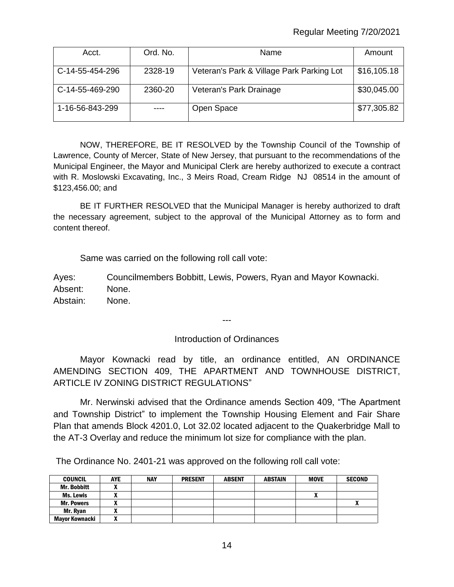## Regular Meeting 7/20/2021

| Acct.           | Ord. No. | Name                                      | Amount      |
|-----------------|----------|-------------------------------------------|-------------|
| C-14-55-454-296 | 2328-19  | Veteran's Park & Village Park Parking Lot | \$16,105.18 |
| C-14-55-469-290 | 2360-20  | Veteran's Park Drainage                   | \$30,045.00 |
| 1-16-56-843-299 |          | Open Space                                | \$77,305.82 |

NOW, THEREFORE, BE IT RESOLVED by the Township Council of the Township of Lawrence, County of Mercer, State of New Jersey, that pursuant to the recommendations of the Municipal Engineer, the Mayor and Municipal Clerk are hereby authorized to execute a contract with R. Moslowski Excavating, Inc., 3 Meirs Road, Cream Ridge NJ 08514 in the amount of \$123,456.00; and

BE IT FURTHER RESOLVED that the Municipal Manager is hereby authorized to draft the necessary agreement, subject to the approval of the Municipal Attorney as to form and content thereof.

Same was carried on the following roll call vote:

Ayes: Councilmembers Bobbitt, Lewis, Powers, Ryan and Mayor Kownacki. Absent: None. Abstain: None.

---

#### Introduction of Ordinances

Mayor Kownacki read by title, an ordinance entitled, AN ORDINANCE AMENDING SECTION 409, THE APARTMENT AND TOWNHOUSE DISTRICT, ARTICLE IV ZONING DISTRICT REGULATIONS"

Mr. Nerwinski advised that the Ordinance amends Section 409, "The Apartment and Township District" to implement the Township Housing Element and Fair Share Plan that amends Block 4201.0, Lot 32.02 located adjacent to the Quakerbridge Mall to the AT-3 Overlay and reduce the minimum lot size for compliance with the plan.

The Ordinance No. 2401-21 was approved on the following roll call vote:

| <b>COUNCIL</b>     | <b>AYE</b> | <b>NAY</b> | <b>PRESENT</b> | <b>ABSENT</b> | <b>ABSTAIN</b> | <b>MOVE</b> | <b>SECOND</b> |
|--------------------|------------|------------|----------------|---------------|----------------|-------------|---------------|
| <b>Mr. Bobbitt</b> |            |            |                |               |                |             |               |
| <b>Ms. Lewis</b>   |            |            |                |               |                |             |               |
| <b>Mr. Powers</b>  |            |            |                |               |                |             | "             |
| Mr. Ryan           |            |            |                |               |                |             |               |
| Mayor Kownacki     |            |            |                |               |                |             |               |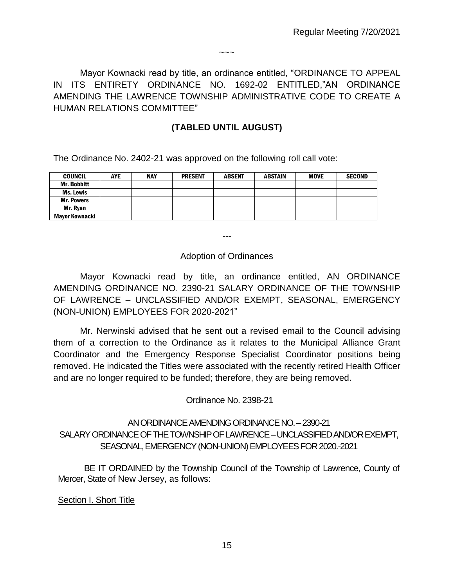Mayor Kownacki read by title, an ordinance entitled, "ORDINANCE TO APPEAL IN ITS ENTIRETY ORDINANCE NO. 1692-02 ENTITLED,"AN ORDINANCE AMENDING THE LAWRENCE TOWNSHIP ADMINISTRATIVE CODE TO CREATE A HUMAN RELATIONS COMMITTEE"

 $\sim\sim\sim$ 

## **(TABLED UNTIL AUGUST)**

The Ordinance No. 2402-21 was approved on the following roll call vote:

| <b>COUNCIL</b>     | <b>AYE</b> | <b>NAY</b> | <b>PRESENT</b> | <b>ABSENT</b> | <b>ABSTAIN</b> | <b>MOVE</b> | <b>SECOND</b> |
|--------------------|------------|------------|----------------|---------------|----------------|-------------|---------------|
| <b>Mr. Bobbitt</b> |            |            |                |               |                |             |               |
| <b>Ms. Lewis</b>   |            |            |                |               |                |             |               |
| <b>Mr. Powers</b>  |            |            |                |               |                |             |               |
| Mr. Ryan           |            |            |                |               |                |             |               |
| Mavor Kownacki     |            |            |                |               |                |             |               |

---

## Adoption of Ordinances

Mayor Kownacki read by title, an ordinance entitled, AN ORDINANCE AMENDING ORDINANCE NO. 2390-21 SALARY ORDINANCE OF THE TOWNSHIP OF LAWRENCE – UNCLASSIFIED AND/OR EXEMPT, SEASONAL, EMERGENCY (NON-UNION) EMPLOYEES FOR 2020-2021"

Mr. Nerwinski advised that he sent out a revised email to the Council advising them of a correction to the Ordinance as it relates to the Municipal Alliance Grant Coordinator and the Emergency Response Specialist Coordinator positions being removed. He indicated the Titles were associated with the recently retired Health Officer and are no longer required to be funded; therefore, they are being removed.

Ordinance No. 2398-21

## AN ORDINANCE AMENDING ORDINANCE NO. –2390-21 SALARY ORDINANCE OF THE TOWNSHIP OF LAWRENCE –UNCLASSIFIED AND/OR EXEMPT, SEASONAL,EMERGENCY (NON-UNION) EMPLOYEES FOR 2020.-2021

BE IT ORDAINED by the Township Council of the Township of Lawrence, County of Mercer, State of New Jersey, as follows:

Section I. Short Title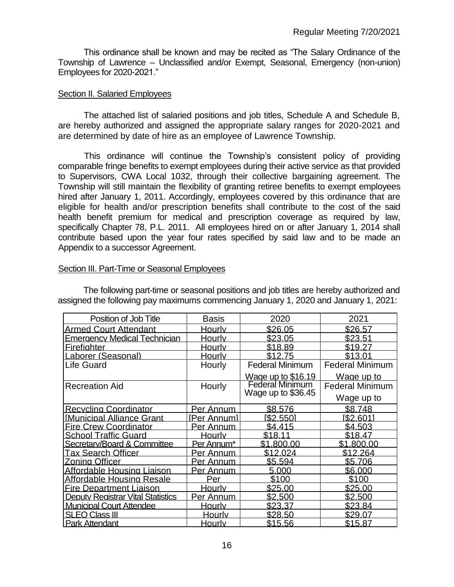This ordinance shall be known and may be recited as "The Salary Ordinance of the Township of Lawrence – Unclassified and/or Exempt, Seasonal, Emergency (non-union) Employees for 2020-2021."

#### Section II. Salaried Employees

The attached list of salaried positions and job titles, Schedule A and Schedule B, are hereby authorized and assigned the appropriate salary ranges for 2020-2021 and are determined by date of hire as an employee of Lawrence Township.

This ordinance will continue the Township's consistent policy of providing comparable fringe benefits to exempt employees during their active service as that provided to Supervisors, CWA Local 1032, through their collective bargaining agreement. The Township will still maintain the flexibility of granting retiree benefits to exempt employees hired after January 1, 2011. Accordingly, employees covered by this ordinance that are eligible for health and/or prescription benefits shall contribute to the cost of the said health benefit premium for medical and prescription coverage as required by law, specifically Chapter 78, P.L. 2011. All employees hired on or after January 1, 2014 shall contribute based upon the year four rates specified by said law and to be made an Appendix to a successor Agreement.

| Position of Job Title                    | <b>Basis</b>           | 2020                      | 2021                   |
|------------------------------------------|------------------------|---------------------------|------------------------|
| <b>Armed Court Attendant</b>             | <b>Hourly</b>          | \$26.05                   | \$26.57                |
| <u>Emergency Medical Technician</u>      | Hourly                 | \$23.05                   | \$23.51                |
| <b>Firefighter</b>                       | <b>Hourly</b>          | \$18.89                   | \$19.27                |
| aborer (Seasonal)                        | <u>Hourly</u>          | \$12.75                   | \$13.01                |
| Life Guard                               | Hourly                 | <b>Federal Minimum</b>    | <b>Federal Minimum</b> |
|                                          |                        | <u>Wage up to \$16.19</u> | Wage up to             |
| <b>Recreation Aid</b>                    | Hourly                 | <b>Federal Minimum</b>    | <b>Federal Minimum</b> |
|                                          |                        | Wage up to $$36.45$       | Wage up to             |
| Recycling Coordinator                    | Per Annum              | \$8.576                   | \$8.748                |
| <b>Municipal Alliance Grant</b>          | <u>[Per Annum]</u>     | I\$2.5501                 | I\$2.6011              |
| <b>Fire Crew Coordinator</b>             | Per Annum              | \$4.415                   | \$4.503                |
| <b>School Traffic Guard</b>              | <b>Hourly</b>          | \$18.11                   | \$18.47                |
| Secretary/Board & Committee              | Per Annum <sup>*</sup> | \$1.800.00                | \$1.800.00             |
| <b>Tax Search Officer</b>                | Per Annum              | \$12.024                  | \$12.264               |
| Zonina Officer                           | Per Annum              | \$5.594                   | \$5.706                |
| Affordable Housing Liaison               | Per Annum              | 5.000                     | \$6,000                |
| Affordable Housing Resale                | Per                    | \$100                     | \$100                  |
| <b>Fire Department Liaison</b>           | <b>Hourly</b>          | \$25.00                   | \$25.00                |
| <b>Deputy Registrar Vital Statistics</b> | Per Annum              | \$2.500                   | \$2.500                |
| <b>Municipal Court Attendee</b>          | <u>Hourly</u>          | \$23.37                   | \$23.84                |
| SLEO Class III                           | Hourly                 | \$28.50                   | \$29.07                |
| <b>Park Attendant</b>                    | <u>Hourly</u>          | \$15.56                   | \$15.87                |

#### Section III. Part-Time or Seasonal Employees

The following part-time or seasonal positions and job titles are hereby authorized and assigned the following pay maximums commencing January 1, 2020 and January 1, 2021: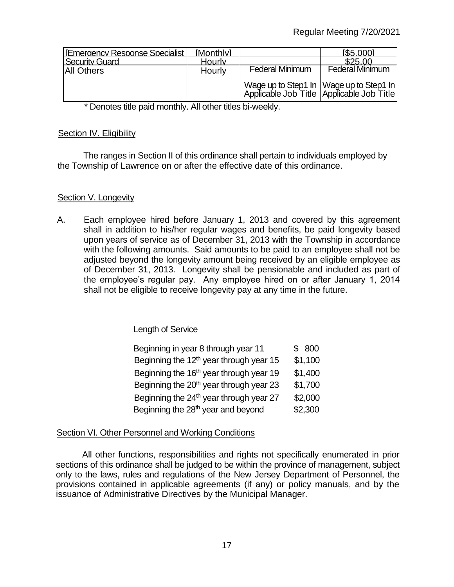| <b>IEmergency Response Specialist</b> | <b>Monthlyl</b> |                                                                                         | [\$5,000]              |
|---------------------------------------|-----------------|-----------------------------------------------------------------------------------------|------------------------|
| <b>Security Guard</b>                 | Hourly          |                                                                                         | \$25.00                |
| <b>All Others</b>                     | Hourly          | <b>Federal Minimum</b>                                                                  | <b>Federal Minimum</b> |
|                                       |                 | Wage up to Step1 In   Wage up to Step1 In <br>Applicable Job Title Applicable Job Title |                        |

\* Denotes title paid monthly. All other titles bi-weekly.

### Section IV. Eligibility

The ranges in Section II of this ordinance shall pertain to individuals employed by the Township of Lawrence on or after the effective date of this ordinance.

## Section V. Longevity

A. Each employee hired before January 1, 2013 and covered by this agreement shall in addition to his/her regular wages and benefits, be paid longevity based upon years of service as of December 31, 2013 with the Township in accordance with the following amounts. Said amounts to be paid to an employee shall not be adjusted beyond the longevity amount being received by an eligible employee as of December 31, 2013. Longevity shall be pensionable and included as part of the employee's regular pay. Any employee hired on or after January 1, 2014 shall not be eligible to receive longevity pay at any time in the future.

Length of Service

| Beginning in year 8 through year 11                 | \$ 800  |
|-----------------------------------------------------|---------|
| Beginning the $12th$ year through year 15           | \$1,100 |
| Beginning the 16 <sup>th</sup> year through year 19 | \$1,400 |
| Beginning the 20 <sup>th</sup> year through year 23 | \$1,700 |
| Beginning the $24th$ year through year 27           | \$2,000 |
| Beginning the 28 <sup>th</sup> year and beyond      | \$2,300 |

## Section VI. Other Personnel and Working Conditions

All other functions, responsibilities and rights not specifically enumerated in prior sections of this ordinance shall be judged to be within the province of management, subject only to the laws, rules and regulations of the New Jersey Department of Personnel, the provisions contained in applicable agreements (if any) or policy manuals, and by the issuance of Administrative Directives by the Municipal Manager.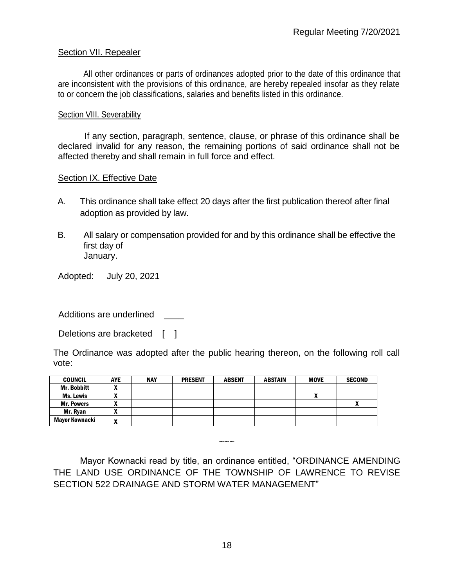## Section VII. Repealer

All other ordinances or parts of ordinances adopted prior to the date of this ordinance that are inconsistent with the provisions of this ordinance, are hereby repealed insofar as they relate to or concern the job classifications, salaries and benefits listed in this ordinance.

#### Section VIII. Severability

If any section, paragraph, sentence, clause, or phrase of this ordinance shall be declared invalid for any reason, the remaining portions of said ordinance shall not be affected thereby and shall remain in full force and effect.

#### Section IX. Effective Date

- A. This ordinance shall take effect 20 days after the first publication thereof after final adoption as provided by law.
- B. All salary or compensation provided for and by this ordinance shall be effective the first day of January.

Adopted: July 20, 2021

Additions are underlined

Deletions are bracketed [ ]

The Ordinance was adopted after the public hearing thereon, on the following roll call vote:

| <b>COUNCIL</b>     | <b>AYE</b>               | <b>NAY</b> | <b>PRESENT</b> | <b>ABSENT</b> | <b>ABSTAIN</b> | <b>MOVE</b> | <b>SECOND</b> |
|--------------------|--------------------------|------------|----------------|---------------|----------------|-------------|---------------|
| <b>Mr. Bobbitt</b> |                          |            |                |               |                |             |               |
| <b>Ms. Lewis</b>   | ,,,                      |            |                |               |                | Λ           |               |
| <b>Mr. Powers</b>  | ~                        |            |                |               |                |             | $\mathbf{r}$  |
| Mr. Ryan           |                          |            |                |               |                |             |               |
| Mayor Kownacki     | $\overline{\phantom{a}}$ |            |                |               |                |             |               |

 $\sim\sim\sim$ 

Mayor Kownacki read by title, an ordinance entitled, "ORDINANCE AMENDING THE LAND USE ORDINANCE OF THE TOWNSHIP OF LAWRENCE TO REVISE SECTION 522 DRAINAGE AND STORM WATER MANAGEMENT"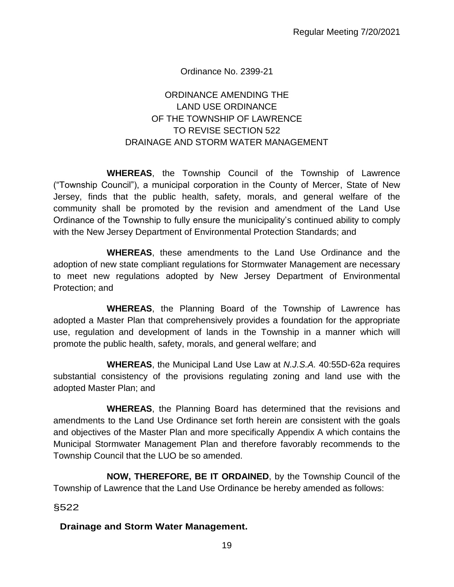## Ordinance No. 2399-21

## ORDINANCE AMENDING THE LAND USE ORDINANCE OF THE TOWNSHIP OF LAWRENCE TO REVISE SECTION 522 DRAINAGE AND STORM WATER MANAGEMENT

**WHEREAS**, the Township Council of the Township of Lawrence ("Township Council"), a municipal corporation in the County of Mercer, State of New Jersey, finds that the public health, safety, morals, and general welfare of the community shall be promoted by the revision and amendment of the Land Use Ordinance of the Township to fully ensure the municipality's continued ability to comply with the New Jersey Department of Environmental Protection Standards; and

**WHEREAS**, these amendments to the Land Use Ordinance and the adoption of new state compliant regulations for Stormwater Management are necessary to meet new regulations adopted by New Jersey Department of Environmental Protection; and

 **WHEREAS**, the Planning Board of the Township of Lawrence has adopted a Master Plan that comprehensively provides a foundation for the appropriate use, regulation and development of lands in the Township in a manner which will promote the public health, safety, morals, and general welfare; and

**WHEREAS**, the Municipal Land Use Law at *N.J.S.A.* 40:55D-62a requires substantial consistency of the provisions regulating zoning and land use with the adopted Master Plan; and

**WHEREAS**, the Planning Board has determined that the revisions and amendments to the Land Use Ordinance set forth herein are consistent with the goals and objectives of the Master Plan and more specifically Appendix A which contains the Municipal Stormwater Management Plan and therefore favorably recommends to the Township Council that the LUO be so amended.

**NOW, THEREFORE, BE IT ORDAINED**, by the Township Council of the Township of Lawrence that the Land Use Ordinance be hereby amended as follows:

§522

## **Drainage and Storm Water Management.**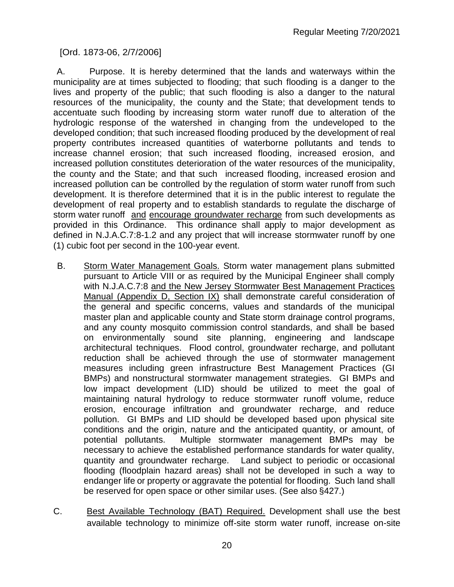[Ord. 1873-06, 2/7/2006]

A. Purpose. It is hereby determined that the lands and waterways within the municipality are at times subjected to flooding; that such flooding is a danger to the lives and property of the public; that such flooding is also a danger to the natural resources of the municipality, the county and the State; that development tends to accentuate such flooding by increasing storm water runoff due to alteration of the hydrologic response of the watershed in changing from the undeveloped to the developed condition; that such increased flooding produced by the development of real property contributes increased quantities of waterborne pollutants and tends to increase channel erosion; that such increased flooding, increased erosion, and increased pollution constitutes deterioration of the water resources of the municipality, the county and the State; and that such increased flooding, increased erosion and increased pollution can be controlled by the regulation of storm water runoff from such development. It is therefore determined that it is in the public interest to regulate the development of real property and to establish standards to regulate the discharge of storm water runoff and encourage groundwater recharge from such developments as provided in this Ordinance. This ordinance shall apply to major development as defined in N.J.A.C.7:8-1.2 and any project that will increase stormwater runoff by one (1) cubic foot per second in the 100-year event.

- B. Storm Water Management Goals. Storm water management plans submitted pursuant to Article VIII or as required by the Municipal Engineer shall comply with N.J.A.C.7:8 and the New Jersey Stormwater Best Management Practices Manual (Appendix D, Section IX) shall demonstrate careful consideration of the general and specific concerns, values and standards of the municipal master plan and applicable county and State storm drainage control programs, and any county mosquito commission control standards, and shall be based on environmentally sound site planning, engineering and landscape architectural techniques. Flood control, groundwater recharge, and pollutant reduction shall be achieved through the use of stormwater management measures including green infrastructure Best Management Practices (GI BMPs) and nonstructural stormwater management strategies. GI BMPs and low impact development (LID) should be utilized to meet the goal of maintaining natural hydrology to reduce stormwater runoff volume, reduce erosion, encourage infiltration and groundwater recharge, and reduce pollution. GI BMPs and LID should be developed based upon physical site conditions and the origin, nature and the anticipated quantity, or amount, of potential pollutants. Multiple stormwater management BMPs may be necessary to achieve the established performance standards for water quality, quantity and groundwater recharge. Land subject to periodic or occasional flooding (floodplain hazard areas) shall not be developed in such a way to endanger life or property or aggravate the potential for flooding. Such land shall be reserved for open space or other similar uses. (See also §427.)
- C. Best Available Technology (BAT) Required. Development shall use the best available technology to minimize off-site storm water runoff, increase on-site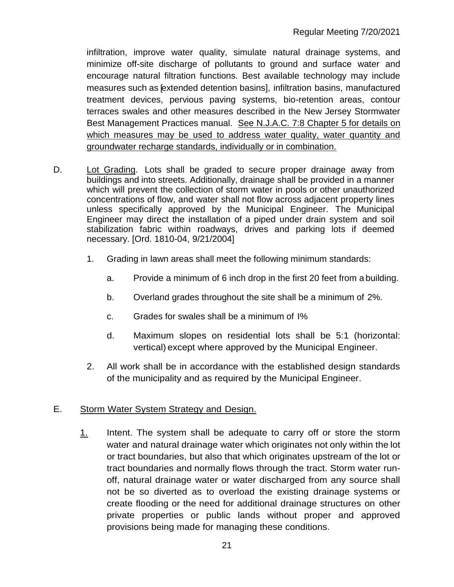infiltration, improve water quality, simulate natural drainage systems, and minimize off-site discharge of pollutants to ground and surface water and encourage natural filtration functions. Best available technology may include measures such as [extended detention basins], infiltration basins, manufactured treatment devices, pervious paving systems, bio-retention areas, contour terraces swales and other measures described in the New Jersey Stormwater Best Management Practices manual. See N.J.A.C. 7:8 Chapter 5 for details on which measures may be used to address water quality, water quantity and groundwater recharge standards, individually or in combination.

- D. Lot Grading. Lots shall be graded to secure proper drainage away from buildings and into streets. Additionally, drainage shall be provided in a manner which will prevent the collection of storm water in pools or other unauthorized concentrations of flow, and water shall not flow across adjacent property lines unless specifically approved by the Municipal Engineer. The Municipal Engineer may direct the installation of a piped under drain system and soil stabilization fabric within roadways, drives and parking lots if deemed necessary. [Ord. 1810-04, 9/21/2004]
	- 1. Grading in lawn areas shall meet the following minimum standards:
		- a. Provide a minimum of 6 inch drop in the first 20 feet from a building.
		- b. Overland grades throughout the site shall be a minimum of 2%.
		- c. Grades for swales shall be a minimum of I%
		- d. Maximum slopes on residential lots shall be 5:1 (horizontal: vertical) except where approved by the Municipal Engineer.
	- 2. All work shall be in accordance with the established design standards of the municipality and as required by the Municipal Engineer.

## E. Storm Water System Strategy and Design.

1. Intent. The system shall be adequate to carry off or store the storm water and natural drainage water which originates not only within the lot or tract boundaries, but also that which originates upstream of the lot or tract boundaries and normally flows through the tract. Storm water runoff, natural drainage water or water discharged from any source shall not be so diverted as to overload the existing drainage systems or create flooding or the need for additional drainage structures on other private properties or public lands without proper and approved provisions being made for managing these conditions.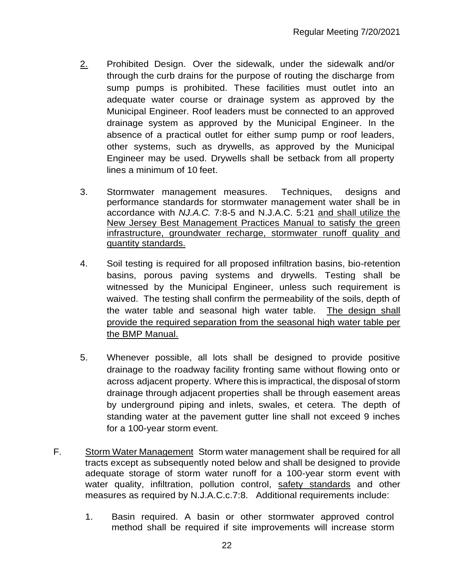- 2. Prohibited Design. Over the sidewalk, under the sidewalk and/or through the curb drains for the purpose of routing the discharge from sump pumps is prohibited. These facilities must outlet into an adequate water course or drainage system as approved by the Municipal Engineer. Roof leaders must be connected to an approved drainage system as approved by the Municipal Engineer. In the absence of a practical outlet for either sump pump or roof leaders, other systems, such as drywells, as approved by the Municipal Engineer may be used. Drywells shall be setback from all property lines a minimum of 10 feet.
- 3. Stormwater management measures. Techniques, designs and performance standards for stormwater management water shall be in accordance with *NJ.A.C.* 7:8-5 and N.J.A.C. 5:21 and shall utilize the New Jersey Best Management Practices Manual to satisfy the green infrastructure, groundwater recharge, stormwater runoff quality and quantity standards.
- 4. Soil testing is required for all proposed infiltration basins, bio-retention basins, porous paving systems and drywells. Testing shall be witnessed by the Municipal Engineer, unless such requirement is waived. The testing shall confirm the permeability of the soils, depth of the water table and seasonal high water table. The design shall provide the required separation from the seasonal high water table per the BMP Manual.
- 5. Whenever possible, all lots shall be designed to provide positive drainage to the roadway facility fronting same without flowing onto or across adjacent property. Where this is impractical, the disposal of storm drainage through adjacent properties shall be through easement areas by underground piping and inlets, swales, et cetera. The depth of standing water at the pavement gutter line shall not exceed 9 inches for a 100-year storm event.
- F. Storm Water Management Storm water management shall be required for all tracts except as subsequently noted below and shall be designed to provide adequate storage of storm water runoff for a 100-year storm event with water quality, infiltration, pollution control, safety standards and other measures as required by N.J.A.C.c.7:8. Additional requirements include:
	- 1. Basin required. A basin or other stormwater approved control method shall be required if site improvements will increase storm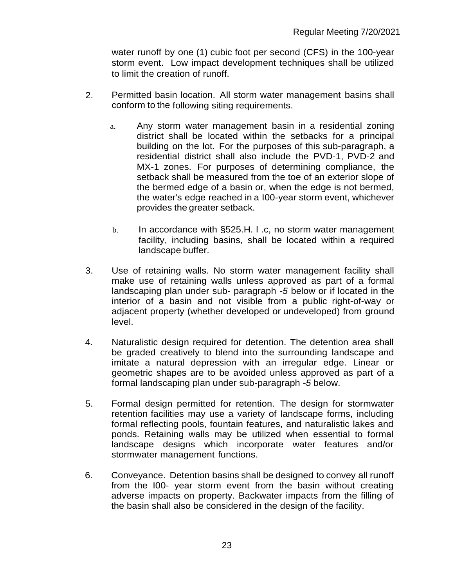water runoff by one (1) cubic foot per second (CFS) in the 100-year storm event. Low impact development techniques shall be utilized to limit the creation of runoff.

- 2. Permitted basin location. All storm water management basins shall conform to the following siting requirements.
	- a. Any storm water management basin in a residential zoning district shall be located within the setbacks for a principal building on the lot. For the purposes of this sub-paragraph, a residential district shall also include the PVD-1, PVD-2 and MX-1 zones. For purposes of determining compliance, the setback shall be measured from the toe of an exterior slope of the bermed edge of a basin or, when the edge is not bermed, the water's edge reached in a I00-year storm event, whichever provides the greater setback.
	- b. In accordance with §525.H. I .c, no storm water management facility, including basins, shall be located within a required landscape buffer.
- 3. Use of retaining walls. No storm water management facility shall make use of retaining walls unless approved as part of a formal landscaping plan under sub- paragraph *-5* below or if located in the interior of a basin and not visible from a public right-of-way or adjacent property (whether developed or undeveloped) from ground level.
- 4. Naturalistic design required for detention. The detention area shall be graded creatively to blend into the surrounding landscape and imitate a natural depression with an irregular edge. Linear or geometric shapes are to be avoided unless approved as part of a formal landscaping plan under sub-paragraph *-5* below.
- 5. Formal design permitted for retention. The design for stormwater retention facilities may use a variety of landscape forms, including formal reflecting pools, fountain features, and naturalistic lakes and ponds. Retaining walls may be utilized when essential to formal landscape designs which incorporate water features and/or stormwater management functions.
- 6. Conveyance. Detention basins shall be designed to convey all runoff from the I00- year storm event from the basin without creating adverse impacts on property. Backwater impacts from the filling of the basin shall also be considered in the design of the facility.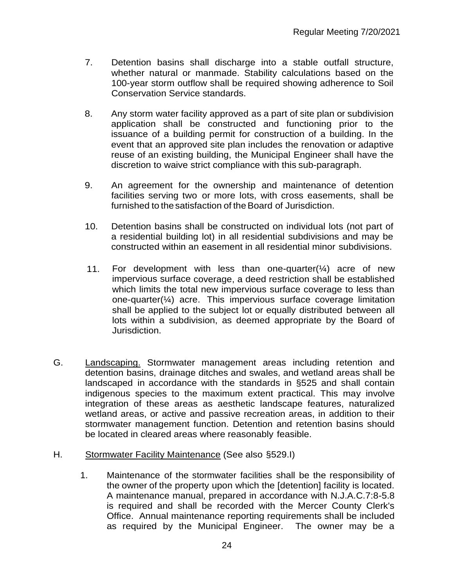- 7. Detention basins shall discharge into a stable outfall structure, whether natural or manmade. Stability calculations based on the 100-year storm outflow shall be required showing adherence to Soil Conservation Service standards.
- 8. Any storm water facility approved as a part of site plan or subdivision application shall be constructed and functioning prior to the issuance of a building permit for construction of a building. In the event that an approved site plan includes the renovation or adaptive reuse of an existing building, the Municipal Engineer shall have the discretion to waive strict compliance with this sub-paragraph.
- 9. An agreement for the ownership and maintenance of detention facilities serving two or more lots, with cross easements, shall be furnished to the satisfaction of the Board of Jurisdiction.
- 10. Detention basins shall be constructed on individual lots (not part of a residential building lot) in all residential subdivisions and may be constructed within an easement in all residential minor subdivisions.
- 11. For development with less than one-quarter( $\frac{1}{4}$ ) acre of new impervious surface coverage, a deed restriction shall be established which limits the total new impervious surface coverage to less than one-quarter(¼) acre. This impervious surface coverage limitation shall be applied to the subject lot or equally distributed between all lots within a subdivision, as deemed appropriate by the Board of Jurisdiction.
- G. Landscaping. Stormwater management areas including retention and detention basins, drainage ditches and swales, and wetland areas shall be landscaped in accordance with the standards in §525 and shall contain indigenous species to the maximum extent practical. This may involve integration of these areas as aesthetic landscape features, naturalized wetland areas, or active and passive recreation areas, in addition to their stormwater management function. Detention and retention basins should be located in cleared areas where reasonably feasible.
- H. Stormwater Facility Maintenance (See also §529.I)
	- 1. Maintenance of the stormwater facilities shall be the responsibility of the owner of the property upon which the [detention] facility is located. A maintenance manual, prepared in accordance with N.J.A.C.7:8-5.8 is required and shall be recorded with the Mercer County Clerk's Office. Annual maintenance reporting requirements shall be included as required by the Municipal Engineer. The owner may be a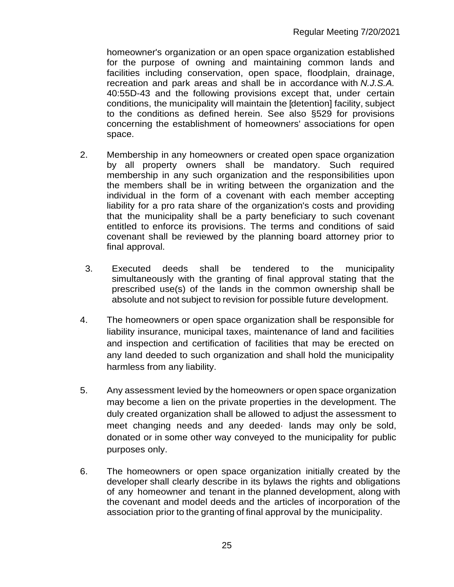homeowner's organization or an open space organization established for the purpose of owning and maintaining common lands and facilities including conservation, open space, floodplain, drainage, recreation and park areas and shall be in accordance with *N.J.S.A.* 40:55D-43 and the following provisions except that, under certain conditions, the municipality will maintain the [detention] facility, subject to the conditions as defined herein. See also §529 for provisions concerning the establishment of homeowners' associations for open space.

- 2. Membership in any homeowners or created open space organization by all property owners shall be mandatory. Such required membership in any such organization and the responsibilities upon the members shall be in writing between the organization and the individual in the form of a covenant with each member accepting liability for a pro rata share of the organization's costs and providing that the municipality shall be a party beneficiary to such covenant entitled to enforce its provisions. The terms and conditions of said covenant shall be reviewed by the planning board attorney prior to final approval.
	- 3. Executed deeds shall be tendered to the municipality simultaneously with the granting of final approval stating that the prescribed use(s) of the lands in the common ownership shall be absolute and not subject to revision for possible future development.
- 4. The homeowners or open space organization shall be responsible for liability insurance, municipal taxes, maintenance of land and facilities and inspection and certification of facilities that may be erected on any land deeded to such organization and shall hold the municipality harmless from any liability.
- 5. Any assessment levied by the homeowners or open space organization may become a lien on the private properties in the development. The duly created organization shall be allowed to adjust the assessment to meet changing needs and any deeded· lands may only be sold, donated or in some other way conveyed to the municipality for public purposes only.
- 6. The homeowners or open space organization initially created by the developer shall clearly describe in its bylaws the rights and obligations of any homeowner and tenant in the planned development, along with the covenant and model deeds and the articles of incorporation of the association prior to the granting of final approval by the municipality.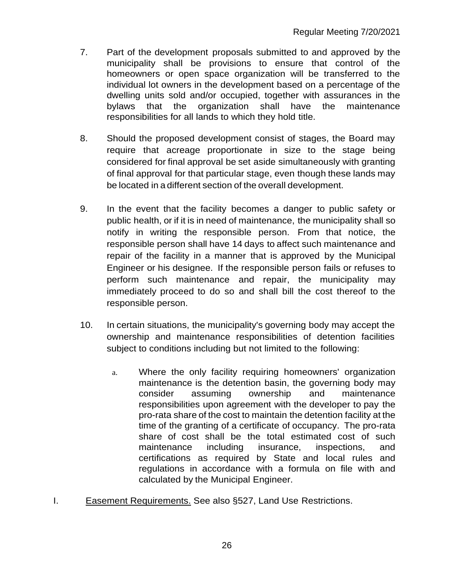- 7. Part of the development proposals submitted to and approved by the municipality shall be provisions to ensure that control of the homeowners or open space organization will be transferred to the individual lot owners in the development based on a percentage of the dwelling units sold and/or occupied, together with assurances in the bylaws that the organization shall have the maintenance responsibilities for all lands to which they hold title.
- 8. Should the proposed development consist of stages, the Board may require that acreage proportionate in size to the stage being considered for final approval be set aside simultaneously with granting of final approval for that particular stage, even though these lands may be located in a different section of the overall development.
- 9. In the event that the facility becomes a danger to public safety or public health, or if it is in need of maintenance, the municipality shall so notify in writing the responsible person. From that notice, the responsible person shall have 14 days to affect such maintenance and repair of the facility in a manner that is approved by the Municipal Engineer or his designee. If the responsible person fails or refuses to perform such maintenance and repair, the municipality may immediately proceed to do so and shall bill the cost thereof to the responsible person.
- 10. In certain situations, the municipality's governing body may accept the ownership and maintenance responsibilities of detention facilities subject to conditions including but not limited to the following:
	- a. Where the only facility requiring homeowners' organization maintenance is the detention basin, the governing body may consider assuming ownership and maintenance responsibilities upon agreement with the developer to pay the pro-rata share of the cost to maintain the detention facility at the time of the granting of a certificate of occupancy. The pro-rata share of cost shall be the total estimated cost of such maintenance including insurance, inspections, and certifications as required by State and local rules and regulations in accordance with a formula on file with and calculated by the Municipal Engineer.
- I. Easement Requirements. See also §527, Land Use Restrictions.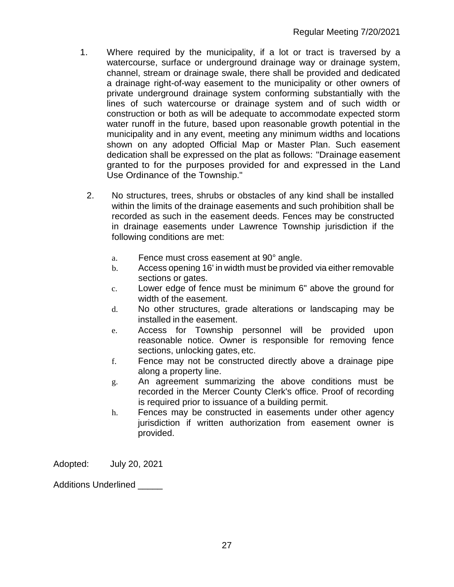- 1. Where required by the municipality, if a lot or tract is traversed by a watercourse, surface or underground drainage way or drainage system, channel, stream or drainage swale, there shall be provided and dedicated a drainage right-of-way easement to the municipality or other owners of private underground drainage system conforming substantially with the lines of such watercourse or drainage system and of such width or construction or both as will be adequate to accommodate expected storm water runoff in the future, based upon reasonable growth potential in the municipality and in any event, meeting any minimum widths and locations shown on any adopted Official Map or Master Plan. Such easement dedication shall be expressed on the plat as follows: "Drainage easement granted to for the purposes provided for and expressed in the Land Use Ordinance of the Township."
	- 2. No structures, trees, shrubs or obstacles of any kind shall be installed within the limits of the drainage easements and such prohibition shall be recorded as such in the easement deeds. Fences may be constructed in drainage easements under Lawrence Township jurisdiction if the following conditions are met:
		- a. Fence must cross easement at 90° angle.
		- b. Access opening 16' in width must be provided via either removable sections or gates.
		- c. Lower edge of fence must be minimum 6" above the ground for width of the easement.
		- d. No other structures, grade alterations or landscaping may be installed in the easement.
		- e. Access for Township personnel will be provided upon reasonable notice. Owner is responsible for removing fence sections, unlocking gates, etc.
		- f. Fence may not be constructed directly above a drainage pipe along a property line.
		- g. An agreement summarizing the above conditions must be recorded in the Mercer County Clerk's office. Proof of recording is required prior to issuance of a building permit.
		- h. Fences may be constructed in easements under other agency jurisdiction if written authorization from easement owner is provided.

Adopted: July 20, 2021

Additions Underlined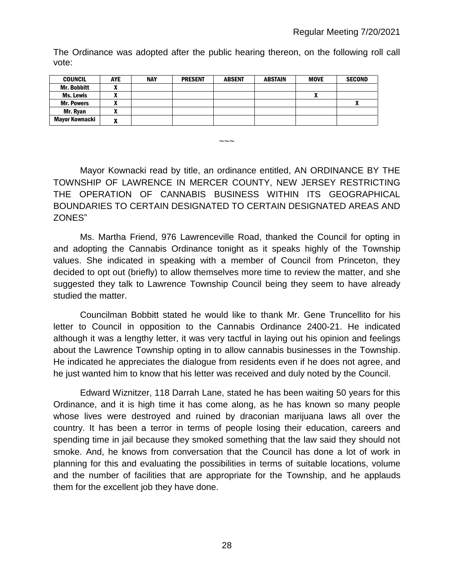The Ordinance was adopted after the public hearing thereon, on the following roll call vote:

| <b>COUNCIL</b>        | <b>AYE</b> | <b>NAY</b> | <b>PRESENT</b> | <b>ABSENT</b> | <b>ABSTAIN</b> | <b>MOVE</b> | <b>SECOND</b> |
|-----------------------|------------|------------|----------------|---------------|----------------|-------------|---------------|
| <b>Mr. Bobbitt</b>    |            |            |                |               |                |             |               |
| Ms. Lewis             |            |            |                |               |                |             |               |
| <b>Mr. Powers</b>     |            |            |                |               |                |             |               |
| Mr. Ryan              |            |            |                |               |                |             |               |
| <b>Mayor Kownacki</b> | -          |            |                |               |                |             |               |

 $\sim\sim\sim$ 

Mayor Kownacki read by title, an ordinance entitled, AN ORDINANCE BY THE TOWNSHIP OF LAWRENCE IN MERCER COUNTY, NEW JERSEY RESTRICTING THE OPERATION OF CANNABIS BUSINESS WITHIN ITS GEOGRAPHICAL BOUNDARIES TO CERTAIN DESIGNATED TO CERTAIN DESIGNATED AREAS AND ZONES"

Ms. Martha Friend, 976 Lawrenceville Road, thanked the Council for opting in and adopting the Cannabis Ordinance tonight as it speaks highly of the Township values. She indicated in speaking with a member of Council from Princeton, they decided to opt out (briefly) to allow themselves more time to review the matter, and she suggested they talk to Lawrence Township Council being they seem to have already studied the matter.

Councilman Bobbitt stated he would like to thank Mr. Gene Truncellito for his letter to Council in opposition to the Cannabis Ordinance 2400-21. He indicated although it was a lengthy letter, it was very tactful in laying out his opinion and feelings about the Lawrence Township opting in to allow cannabis businesses in the Township. He indicated he appreciates the dialogue from residents even if he does not agree, and he just wanted him to know that his letter was received and duly noted by the Council.

Edward Wiznitzer, 118 Darrah Lane, stated he has been waiting 50 years for this Ordinance, and it is high time it has come along, as he has known so many people whose lives were destroyed and ruined by draconian marijuana laws all over the country. It has been a terror in terms of people losing their education, careers and spending time in jail because they smoked something that the law said they should not smoke. And, he knows from conversation that the Council has done a lot of work in planning for this and evaluating the possibilities in terms of suitable locations, volume and the number of facilities that are appropriate for the Township, and he applauds them for the excellent job they have done.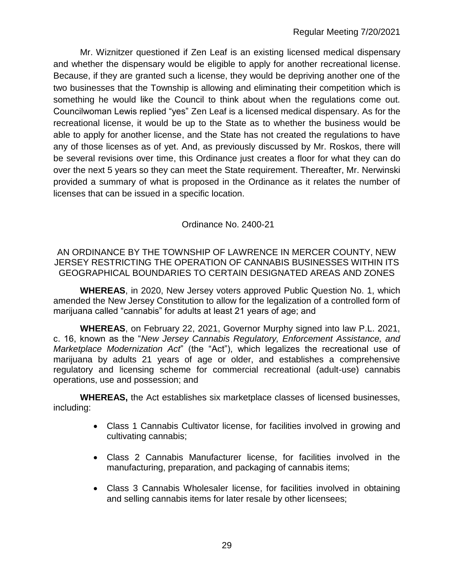Mr. Wiznitzer questioned if Zen Leaf is an existing licensed medical dispensary and whether the dispensary would be eligible to apply for another recreational license. Because, if they are granted such a license, they would be depriving another one of the two businesses that the Township is allowing and eliminating their competition which is something he would like the Council to think about when the regulations come out. Councilwoman Lewis replied "yes" Zen Leaf is a licensed medical dispensary. As for the recreational license, it would be up to the State as to whether the business would be able to apply for another license, and the State has not created the regulations to have any of those licenses as of yet. And, as previously discussed by Mr. Roskos, there will be several revisions over time, this Ordinance just creates a floor for what they can do over the next 5 years so they can meet the State requirement. Thereafter, Mr. Nerwinski provided a summary of what is proposed in the Ordinance as it relates the number of licenses that can be issued in a specific location.

Ordinance No. 2400-21

AN ORDINANCE BY THE TOWNSHIP OF LAWRENCE IN MERCER COUNTY, NEW JERSEY RESTRICTING THE OPERATION OF CANNABIS BUSINESSES WITHIN ITS GEOGRAPHICAL BOUNDARIES TO CERTAIN DESIGNATED AREAS AND ZONES

**WHEREAS**, in 2020, New Jersey voters approved Public Question No. 1, which amended the New Jersey Constitution to allow for the legalization of a controlled form of marijuana called "cannabis" for adults at least 21 years of age; and

**WHEREAS**, on February 22, 2021, Governor Murphy signed into law P.L. 2021, c. 16, known as the "*New Jersey Cannabis Regulatory, Enforcement Assistance, and Marketplace Modernization Act*" (the "Act"), which legalizes the recreational use of marijuana by adults 21 years of age or older, and establishes a comprehensive regulatory and licensing scheme for commercial recreational (adult-use) cannabis operations, use and possession; and

**WHEREAS,** the Act establishes six marketplace classes of licensed businesses, including:

- Class 1 Cannabis Cultivator license, for facilities involved in growing and cultivating cannabis;
- Class 2 Cannabis Manufacturer license, for facilities involved in the manufacturing, preparation, and packaging of cannabis items;
- Class 3 Cannabis Wholesaler license, for facilities involved in obtaining and selling cannabis items for later resale by other licensees;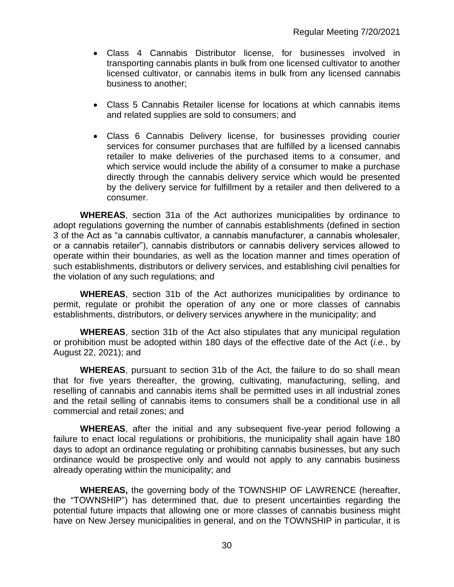- Class 4 Cannabis Distributor license, for businesses involved in transporting cannabis plants in bulk from one licensed cultivator to another licensed cultivator, or cannabis items in bulk from any licensed cannabis business to another;
- Class 5 Cannabis Retailer license for locations at which cannabis items and related supplies are sold to consumers; and
- Class 6 Cannabis Delivery license, for businesses providing courier services for consumer purchases that are fulfilled by a licensed cannabis retailer to make deliveries of the purchased items to a consumer, and which service would include the ability of a consumer to make a purchase directly through the cannabis delivery service which would be presented by the delivery service for fulfillment by a retailer and then delivered to a consumer.

**WHEREAS**, section 31a of the Act authorizes municipalities by ordinance to adopt regulations governing the number of cannabis establishments (defined in section 3 of the Act as "a cannabis cultivator, a cannabis manufacturer, a cannabis wholesaler, or a cannabis retailer"), cannabis distributors or cannabis delivery services allowed to operate within their boundaries, as well as the location manner and times operation of such establishments, distributors or delivery services, and establishing civil penalties for the violation of any such regulations; and

**WHEREAS**, section 31b of the Act authorizes municipalities by ordinance to permit, regulate or prohibit the operation of any one or more classes of cannabis establishments, distributors, or delivery services anywhere in the municipality; and

**WHEREAS**, section 31b of the Act also stipulates that any municipal regulation or prohibition must be adopted within 180 days of the effective date of the Act (*i.e.*, by August 22, 2021); and

**WHEREAS**, pursuant to section 31b of the Act, the failure to do so shall mean that for five years thereafter, the growing, cultivating, manufacturing, selling, and reselling of cannabis and cannabis items shall be permitted uses in all industrial zones and the retail selling of cannabis items to consumers shall be a conditional use in all commercial and retail zones; and

**WHEREAS**, after the initial and any subsequent five-year period following a failure to enact local regulations or prohibitions, the municipality shall again have 180 days to adopt an ordinance regulating or prohibiting cannabis businesses, but any such ordinance would be prospective only and would not apply to any cannabis business already operating within the municipality; and

**WHEREAS,** the governing body of the TOWNSHIP OF LAWRENCE (hereafter, the "TOWNSHIP") has determined that, due to present uncertainties regarding the potential future impacts that allowing one or more classes of cannabis business might have on New Jersey municipalities in general, and on the TOWNSHIP in particular, it is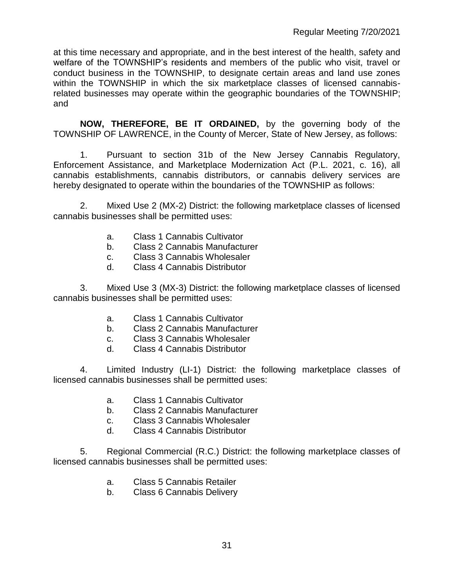at this time necessary and appropriate, and in the best interest of the health, safety and welfare of the TOWNSHIP's residents and members of the public who visit, travel or conduct business in the TOWNSHIP, to designate certain areas and land use zones within the TOWNSHIP in which the six marketplace classes of licensed cannabisrelated businesses may operate within the geographic boundaries of the TOWNSHIP; and

**NOW, THEREFORE, BE IT ORDAINED,** by the governing body of the TOWNSHIP OF LAWRENCE, in the County of Mercer, State of New Jersey, as follows:

1. Pursuant to section 31b of the New Jersey Cannabis Regulatory, Enforcement Assistance, and Marketplace Modernization Act (P.L. 2021, c. 16), all cannabis establishments, cannabis distributors, or cannabis delivery services are hereby designated to operate within the boundaries of the TOWNSHIP as follows:

2. Mixed Use 2 (MX-2) District: the following marketplace classes of licensed cannabis businesses shall be permitted uses:

- a. Class 1 Cannabis Cultivator
- b. Class 2 Cannabis Manufacturer
- c. Class 3 Cannabis Wholesaler
- d. Class 4 Cannabis Distributor

3. Mixed Use 3 (MX-3) District: the following marketplace classes of licensed cannabis businesses shall be permitted uses:

- a. Class 1 Cannabis Cultivator
- b. Class 2 Cannabis Manufacturer
- c. Class 3 Cannabis Wholesaler
- d. Class 4 Cannabis Distributor

4. Limited Industry (LI-1) District: the following marketplace classes of licensed cannabis businesses shall be permitted uses:

- a. Class 1 Cannabis Cultivator
- b. Class 2 Cannabis Manufacturer
- c. Class 3 Cannabis Wholesaler
- d. Class 4 Cannabis Distributor

5. Regional Commercial (R.C.) District: the following marketplace classes of licensed cannabis businesses shall be permitted uses:

- a. Class 5 Cannabis Retailer
- b. Class 6 Cannabis Delivery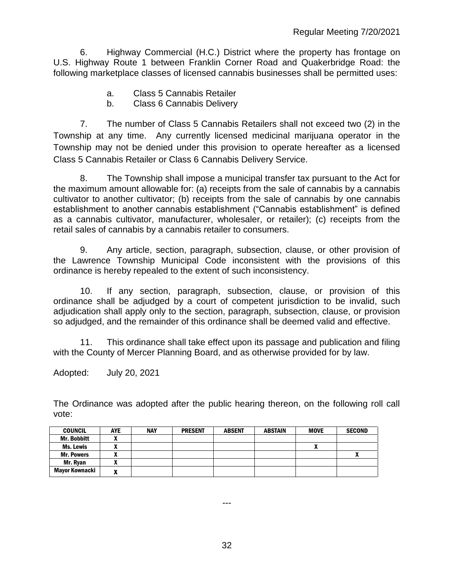6. Highway Commercial (H.C.) District where the property has frontage on U.S. Highway Route 1 between Franklin Corner Road and Quakerbridge Road: the following marketplace classes of licensed cannabis businesses shall be permitted uses:

- a. Class 5 Cannabis Retailer
- b. Class 6 Cannabis Delivery

7. The number of Class 5 Cannabis Retailers shall not exceed two (2) in the Township at any time. Any currently licensed medicinal marijuana operator in the Township may not be denied under this provision to operate hereafter as a licensed Class 5 Cannabis Retailer or Class 6 Cannabis Delivery Service.

8. The Township shall impose a municipal transfer tax pursuant to the Act for the maximum amount allowable for: (a) receipts from the sale of cannabis by a cannabis cultivator to another cultivator; (b) receipts from the sale of cannabis by one cannabis establishment to another cannabis establishment ("Cannabis establishment" is defined as a cannabis cultivator, manufacturer, wholesaler, or retailer); (c) receipts from the retail sales of cannabis by a cannabis retailer to consumers.

9. Any article, section, paragraph, subsection, clause, or other provision of the Lawrence Township Municipal Code inconsistent with the provisions of this ordinance is hereby repealed to the extent of such inconsistency.

10. If any section, paragraph, subsection, clause, or provision of this ordinance shall be adjudged by a court of competent jurisdiction to be invalid, such adjudication shall apply only to the section, paragraph, subsection, clause, or provision so adjudged, and the remainder of this ordinance shall be deemed valid and effective.

11. This ordinance shall take effect upon its passage and publication and filing with the County of Mercer Planning Board, and as otherwise provided for by law.

Adopted: July 20, 2021

The Ordinance was adopted after the public hearing thereon, on the following roll call vote:

| <b>COUNCIL</b>     | <b>AYE</b> | <b>NAY</b> | <b>PRESENT</b> | <b>ABSENT</b> | <b>ABSTAIN</b> | <b>MOVE</b>  | <b>SECOND</b> |
|--------------------|------------|------------|----------------|---------------|----------------|--------------|---------------|
| <b>Mr. Bobbitt</b> |            |            |                |               |                |              |               |
| Ms. Lewis          |            |            |                |               |                | $\mathbf{r}$ |               |
| <b>Mr. Powers</b>  |            |            |                |               |                |              |               |
| Mr. Ryan           |            |            |                |               |                |              |               |
| Mayor Kownacki     | w          |            |                |               |                |              |               |

---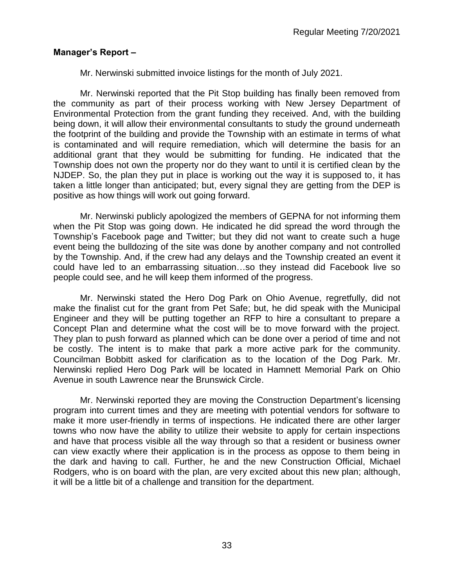## **Manager's Report –**

Mr. Nerwinski submitted invoice listings for the month of July 2021.

Mr. Nerwinski reported that the Pit Stop building has finally been removed from the community as part of their process working with New Jersey Department of Environmental Protection from the grant funding they received. And, with the building being down, it will allow their environmental consultants to study the ground underneath the footprint of the building and provide the Township with an estimate in terms of what is contaminated and will require remediation, which will determine the basis for an additional grant that they would be submitting for funding. He indicated that the Township does not own the property nor do they want to until it is certified clean by the NJDEP. So, the plan they put in place is working out the way it is supposed to, it has taken a little longer than anticipated; but, every signal they are getting from the DEP is positive as how things will work out going forward.

Mr. Nerwinski publicly apologized the members of GEPNA for not informing them when the Pit Stop was going down. He indicated he did spread the word through the Township's Facebook page and Twitter; but they did not want to create such a huge event being the bulldozing of the site was done by another company and not controlled by the Township. And, if the crew had any delays and the Township created an event it could have led to an embarrassing situation…so they instead did Facebook live so people could see, and he will keep them informed of the progress.

Mr. Nerwinski stated the Hero Dog Park on Ohio Avenue, regretfully, did not make the finalist cut for the grant from Pet Safe; but, he did speak with the Municipal Engineer and they will be putting together an RFP to hire a consultant to prepare a Concept Plan and determine what the cost will be to move forward with the project. They plan to push forward as planned which can be done over a period of time and not be costly. The intent is to make that park a more active park for the community. Councilman Bobbitt asked for clarification as to the location of the Dog Park. Mr. Nerwinski replied Hero Dog Park will be located in Hamnett Memorial Park on Ohio Avenue in south Lawrence near the Brunswick Circle.

Mr. Nerwinski reported they are moving the Construction Department's licensing program into current times and they are meeting with potential vendors for software to make it more user-friendly in terms of inspections. He indicated there are other larger towns who now have the ability to utilize their website to apply for certain inspections and have that process visible all the way through so that a resident or business owner can view exactly where their application is in the process as oppose to them being in the dark and having to call. Further, he and the new Construction Official, Michael Rodgers, who is on board with the plan, are very excited about this new plan; although, it will be a little bit of a challenge and transition for the department.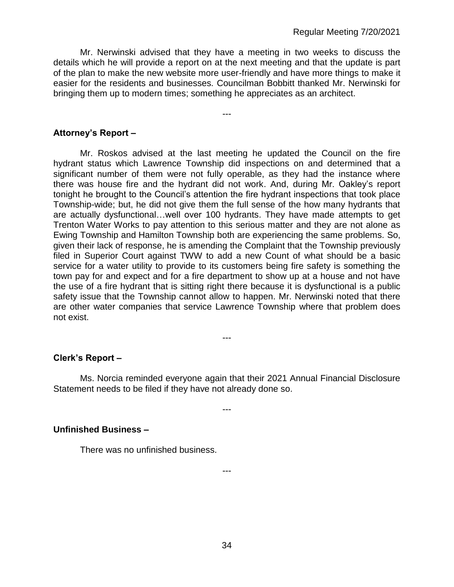Mr. Nerwinski advised that they have a meeting in two weeks to discuss the details which he will provide a report on at the next meeting and that the update is part of the plan to make the new website more user-friendly and have more things to make it easier for the residents and businesses. Councilman Bobbitt thanked Mr. Nerwinski for bringing them up to modern times; something he appreciates as an architect.

---

### **Attorney's Report –**

Mr. Roskos advised at the last meeting he updated the Council on the fire hydrant status which Lawrence Township did inspections on and determined that a significant number of them were not fully operable, as they had the instance where there was house fire and the hydrant did not work. And, during Mr. Oakley's report tonight he brought to the Council's attention the fire hydrant inspections that took place Township-wide; but, he did not give them the full sense of the how many hydrants that are actually dysfunctional…well over 100 hydrants. They have made attempts to get Trenton Water Works to pay attention to this serious matter and they are not alone as Ewing Township and Hamilton Township both are experiencing the same problems. So, given their lack of response, he is amending the Complaint that the Township previously filed in Superior Court against TWW to add a new Count of what should be a basic service for a water utility to provide to its customers being fire safety is something the town pay for and expect and for a fire department to show up at a house and not have the use of a fire hydrant that is sitting right there because it is dysfunctional is a public safety issue that the Township cannot allow to happen. Mr. Nerwinski noted that there are other water companies that service Lawrence Township where that problem does not exist.

#### **Clerk's Report –**

Ms. Norcia reminded everyone again that their 2021 Annual Financial Disclosure Statement needs to be filed if they have not already done so.

---

---

---

#### **Unfinished Business –**

There was no unfinished business.

34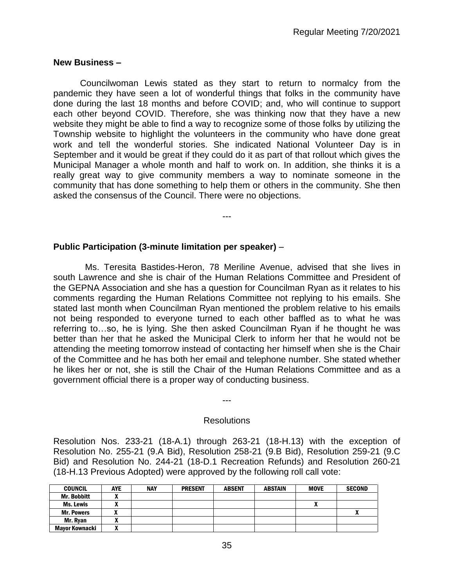### **New Business –**

Councilwoman Lewis stated as they start to return to normalcy from the pandemic they have seen a lot of wonderful things that folks in the community have done during the last 18 months and before COVID; and, who will continue to support each other beyond COVID. Therefore, she was thinking now that they have a new website they might be able to find a way to recognize some of those folks by utilizing the Township website to highlight the volunteers in the community who have done great work and tell the wonderful stories. She indicated National Volunteer Day is in September and it would be great if they could do it as part of that rollout which gives the Municipal Manager a whole month and half to work on. In addition, she thinks it is a really great way to give community members a way to nominate someone in the community that has done something to help them or others in the community. She then asked the consensus of the Council. There were no objections.

---

## **Public Participation (3-minute limitation per speaker)** –

 Ms. Teresita Bastides-Heron, 78 Meriline Avenue, advised that she lives in south Lawrence and she is chair of the Human Relations Committee and President of the GEPNA Association and she has a question for Councilman Ryan as it relates to his comments regarding the Human Relations Committee not replying to his emails. She stated last month when Councilman Ryan mentioned the problem relative to his emails not being responded to everyone turned to each other baffled as to what he was referring to…so, he is lying. She then asked Councilman Ryan if he thought he was better than her that he asked the Municipal Clerk to inform her that he would not be attending the meeting tomorrow instead of contacting her himself when she is the Chair of the Committee and he has both her email and telephone number. She stated whether he likes her or not, she is still the Chair of the Human Relations Committee and as a government official there is a proper way of conducting business.

#### **Resolutions**

---

Resolution Nos. 233-21 (18-A.1) through 263-21 (18-H.13) with the exception of Resolution No. 255-21 (9.A Bid), Resolution 258-21 (9.B Bid), Resolution 259-21 (9.C Bid) and Resolution No. 244-21 (18-D.1 Recreation Refunds) and Resolution 260-21 (18-H.13 Previous Adopted) were approved by the following roll call vote:

| <b>COUNCIL</b>        | <b>AYE</b> | <b>NAY</b> | <b>PRESENT</b> | <b>ABSENT</b> | <b>ABSTAIN</b> | <b>MOVE</b> | <b>SECOND</b> |
|-----------------------|------------|------------|----------------|---------------|----------------|-------------|---------------|
| <b>Mr. Bobbitt</b>    |            |            |                |               |                |             |               |
| Ms. Lewis             | ~          |            |                |               |                |             |               |
| <b>Mr. Powers</b>     |            |            |                |               |                |             | w             |
| Mr. Rvan              | ^          |            |                |               |                |             |               |
| <b>Mayor Kownacki</b> | ~          |            |                |               |                |             |               |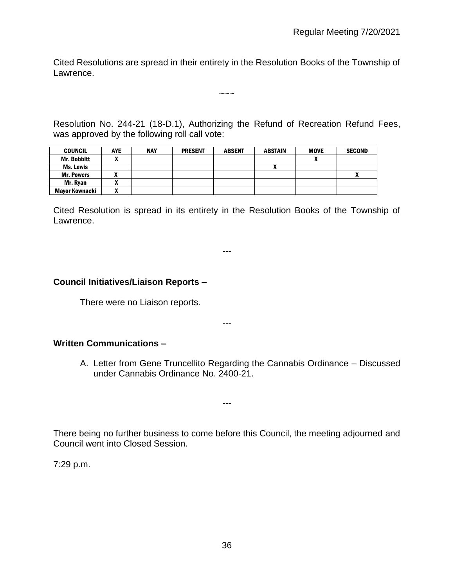Cited Resolutions are spread in their entirety in the Resolution Books of the Township of Lawrence.

 $\sim\sim\sim$ 

Resolution No. 244-21 (18-D.1), Authorizing the Refund of Recreation Refund Fees, was approved by the following roll call vote:

| <b>COUNCIL</b>        | <b>AYE</b> | <b>NAY</b> | <b>PRESENT</b> | <b>ABSENT</b> | <b>ABSTAIN</b> | <b>MOVE</b> | <b>SECOND</b> |
|-----------------------|------------|------------|----------------|---------------|----------------|-------------|---------------|
| <b>Mr. Bobbitt</b>    |            |            |                |               |                | A           |               |
| Ms. Lewis             |            |            |                |               |                |             |               |
| <b>Mr. Powers</b>     |            |            |                |               |                |             | w             |
| Mr. Ryan              | ~          |            |                |               |                |             |               |
| <b>Mayor Kownacki</b> |            |            |                |               |                |             |               |

Cited Resolution is spread in its entirety in the Resolution Books of the Township of Lawrence.

---

#### **Council Initiatives/Liaison Reports –**

There were no Liaison reports.

#### ---

## **Written Communications –**

A. Letter from Gene Truncellito Regarding the Cannabis Ordinance – Discussed under Cannabis Ordinance No. 2400-21.

There being no further business to come before this Council, the meeting adjourned and Council went into Closed Session.

---

7:29 p.m.